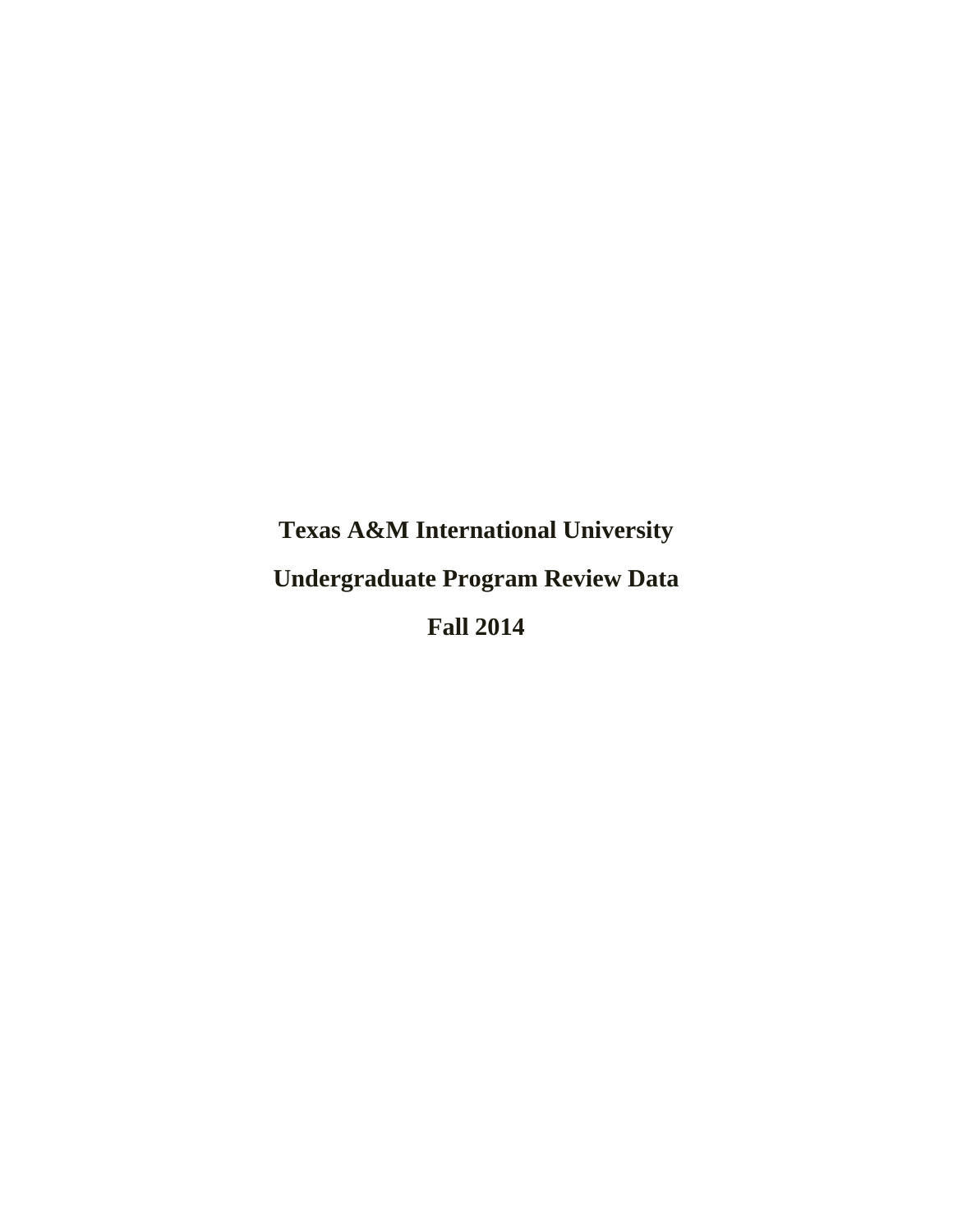**Texas A&M International University Undergraduate Program Review Data Fall 2014**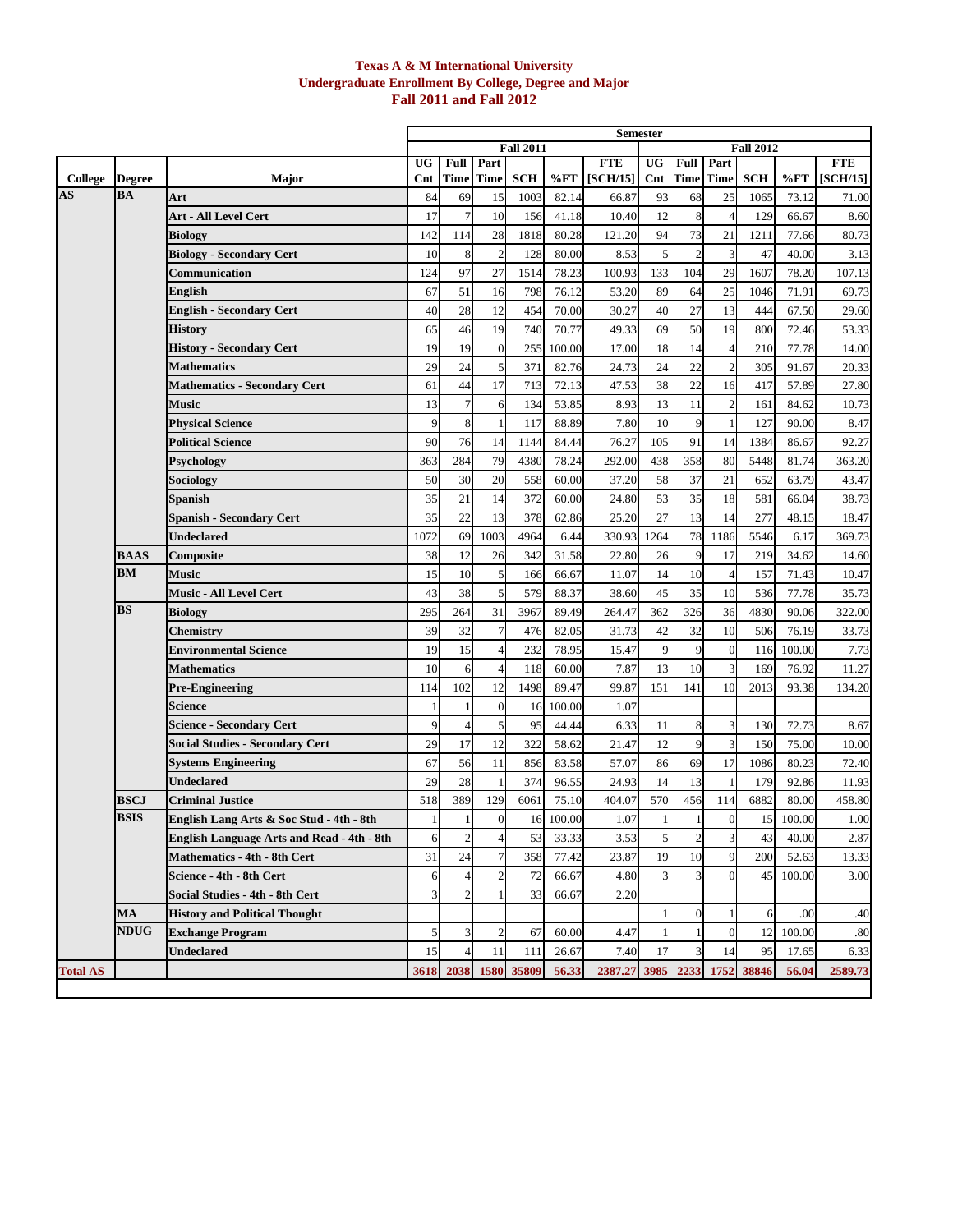### **Texas A & M International University Undergraduate Enrollment By College, Degree and Major Fall 2011 and Fall 2012**

|                                   |                            |                                                                                               |           |                |                          |                  |                    |                        | <b>Semester</b> |                          |                       |                  |                    |                        |
|-----------------------------------|----------------------------|-----------------------------------------------------------------------------------------------|-----------|----------------|--------------------------|------------------|--------------------|------------------------|-----------------|--------------------------|-----------------------|------------------|--------------------|------------------------|
|                                   |                            |                                                                                               |           |                |                          | <b>Fall 2011</b> |                    |                        |                 |                          |                       | <b>Fall 2012</b> |                    |                        |
| College                           | <b>Degree</b>              | Major                                                                                         | UG<br>Cnt | Full           | Part<br><b>Time</b> Time | <b>SCH</b>       | %FT                | <b>FTE</b><br>[SCH/15] | UG<br>Cnt       | <b>Full Part</b><br>Time | Time                  | <b>SCH</b>       | $\% FT$            | <b>FTE</b><br>[SCH/15] |
| $\overline{\mathbf{A}}\mathbf{S}$ | <b>BA</b>                  | Art                                                                                           | 84        | 69             | 15                       | 1003             | 82.14              | 66.87                  | 93              | 68                       | 25                    | 1065             | 73.12              | 71.00                  |
|                                   |                            | Art - All Level Cert                                                                          | 17        | $\overline{7}$ | 10                       | 156              | 41.18              | 10.40                  | 12              | 8                        | $\overline{4}$        | 129              | 66.67              | 8.60                   |
|                                   |                            | <b>Biology</b>                                                                                | 142       | 114            | 28                       | 1818             | 80.28              | 121.20                 | 94              | 73                       | 21                    | 1211             | 77.66              | 80.73                  |
|                                   |                            | <b>Biology - Secondary Cert</b>                                                               | 10        | 8              | $\overline{c}$           | 128              | 80.00              | 8.53                   | 5               | $\overline{c}$           | 3                     | 47               | 40.00              | 3.13                   |
|                                   |                            | Communication                                                                                 | 124       | 97             | 27                       | 1514             | 78.23              | 100.93                 | 133             | 104                      | 29                    | 1607             | 78.20              | 107.13                 |
|                                   |                            | English                                                                                       | 67        | 51             | 16                       | 798              | 76.12              | 53.20                  | 89              | 64                       | 25                    | 1046             | 71.91              | 69.73                  |
|                                   |                            | <b>English - Secondary Cert</b>                                                               | 40        | 28             | 12                       | 454              | 70.00              | 30.27                  | 40              | 27                       | 13                    | 444              | 67.50              | 29.60                  |
|                                   |                            | <b>History</b>                                                                                | 65        | 46             | 19                       | 740              | 70.77              | 49.33                  | 69              | 50                       | 19                    | 800              | 72.46              | 53.33                  |
|                                   |                            | <b>History - Secondary Cert</b>                                                               | 19        | 19             | $\overline{0}$           | 255              | 100.00             | 17.00                  | 18              | 14                       | 4                     | 210              | 77.78              | 14.00                  |
|                                   |                            | <b>Mathematics</b>                                                                            | 29        | 24             | 5                        | 371              | 82.76              | 24.73                  | 24              | 22                       | $\overline{2}$        | 305              | 91.67              | 20.33                  |
|                                   |                            | <b>Mathematics - Secondary Cert</b>                                                           | 61        | 44             | 17                       | 713              | 72.13              | 47.53                  | 38              | 22                       | 16                    | 417              | 57.89              | 27.80                  |
|                                   |                            | Music                                                                                         | 13        |                | 6                        | 134              | 53.85              | 8.93                   | 13              | 11                       | $\overline{2}$        | 161              | 84.62              | 10.73                  |
|                                   |                            | <b>Physical Science</b>                                                                       | 9         | 8              |                          | 117              | 88.89              | 7.80                   | 10              | 9                        |                       | 127              | 90.00              | 8.47                   |
|                                   |                            | <b>Political Science</b>                                                                      | 90        | 76             | 14                       | 1144             | 84.44              | 76.27                  | 105             | 91                       | 14                    | 1384             | 86.67              | 92.27                  |
|                                   |                            | <b>Psychology</b>                                                                             | 363       | 284            | 79                       | 4380             | 78.24              | 292.00                 | 438             | 358                      | 80                    | 5448             | 81.74              | 363.20                 |
|                                   |                            | Sociology                                                                                     | 50        | 30             | 20                       | 558              | 60.00              | 37.20                  | 58              | 37                       | 21                    | 652              | 63.79              | 43.47                  |
|                                   |                            | Spanish                                                                                       | 35        | 21             | 14                       | 372              | 60.00              | 24.80                  | 53              | 35                       | 18                    | 581              | 66.04              | 38.73                  |
|                                   |                            | Spanish - Secondary Cert                                                                      | 35        | 22             | 13                       | 378              | 62.86              | 25.20                  | 27              | 13                       | 14                    | 277              | 48.15              | 18.47                  |
|                                   |                            | <b>Undeclared</b>                                                                             | 1072      | 69             | 1003                     | 4964             | 6.44               | 330.93                 | 1264            | 78                       | 1186                  | 5546             | 6.17               | 369.73                 |
|                                   | <b>BAAS</b>                | Composite                                                                                     | 38        | 12             | 26                       | 342              | 31.58              | 22.80                  | 26              | 9                        | 17                    | 219              | 34.62              | 14.60                  |
|                                   | BM                         | <b>Music</b>                                                                                  | 15        | 10             | 5                        | 166              | 66.67              | 11.07                  | 14              | 10                       | $\overline{4}$        | 157              | 71.43              | 10.47                  |
|                                   |                            | <b>Music - All Level Cert</b>                                                                 | 43        | 38             | 5                        | 579              | 88.37              | 38.60                  | 45              | 35                       | 10                    | 536              | 77.78              | 35.73                  |
|                                   | <b>BS</b>                  | <b>Biology</b>                                                                                | 295       | 264            | 31                       | 3967             | 89.49              | 264.47                 | 362             | 326                      | 36                    | 4830             | 90.06              | 322.00                 |
|                                   |                            | Chemistry                                                                                     | 39        | 32             | $\overline{7}$           | 476              | 82.05              | 31.73                  | 42              | 32                       | 10                    | 506              | 76.19              | 33.73                  |
|                                   |                            | <b>Environmental Science</b>                                                                  | 19        | 15             | $\overline{A}$           | 232              | 78.95              | 15.47                  | 9               | 9                        | $\mathbf{0}$          | 116              | 100.00             | 7.73                   |
|                                   |                            | Mathematics                                                                                   | 10        | 6              |                          | 118              | 60.00              | 7.87                   | 13              | 10                       | 3                     | 169              | 76.92              | 11.27                  |
|                                   |                            | Pre-Engineering                                                                               | 114       | 102            | 12                       | 1498             | 89.47              | 99.87                  | 151             | 141                      | 10                    | 2013             | 93.38              | 134.20                 |
|                                   |                            | Science                                                                                       |           |                | $\overline{0}$           | 16               | 100.00             | 1.07                   |                 |                          |                       |                  |                    |                        |
|                                   |                            | <b>Science - Secondary Cert</b>                                                               | 9         |                | 5                        | 95               | 44.44              | 6.33                   | 11              | 8                        | 3                     | 130              | 72.73              | 8.67                   |
|                                   |                            | <b>Social Studies - Secondary Cert</b>                                                        | 29        | 17             | 12                       | 322              | 58.62              | 21.47                  | 12              | 9                        | 3                     | 150              | 75.00              | 10.00                  |
|                                   |                            | <b>Systems Engineering</b>                                                                    | 67        | 56             | 11                       | 856              | 83.58              | 57.07                  | 86              | 69                       | 17                    | 1086             | 80.23              | 72.40                  |
|                                   |                            | Undeclared                                                                                    | 29        | 28             |                          | 374              | 96.55              | 24.93                  | 14              | 13                       |                       | 179              | 92.86              | 11.93                  |
|                                   | <b>BSCJ</b><br><b>BSIS</b> | <b>Criminal Justice</b>                                                                       | 518<br>1  | 389<br>1       | 129<br>$\overline{0}$    | 6061             | 75.10<br>16 100.00 | 404.07<br>1.07         | 570<br>1        | 456                      | 114<br>$\overline{0}$ | 6882             | 80.00<br>15 100.00 | 458.80<br>1.00         |
|                                   |                            | English Lang Arts & Soc Stud - 4th - 8th<br><b>English Language Arts and Read - 4th - 8th</b> | 6         | $\overline{2}$ | 4                        | 53               | 33.33              | 3.53                   | 5               | $\overline{c}$           | 3                     | 43               | 40.00              | 2.87                   |
|                                   |                            | <b>Mathematics - 4th - 8th Cert</b>                                                           | 31        | 24             |                          | 358              | 77.42              | 23.87                  | 19              | 10                       | 9                     | 200              |                    |                        |
|                                   |                            | Science - 4th - 8th Cert                                                                      | 6         |                | $\overline{c}$           | 72               | 66.67              | 4.80                   |                 | 3                        | $\Omega$              | 45               | 52.63<br>100.00    | 13.33<br>3.00          |
|                                   |                            | Social Studies - 4th - 8th Cert                                                               | 3         | $\overline{c}$ |                          | 33               | 66.67              | 2.20                   |                 |                          |                       |                  |                    |                        |
|                                   | MA                         | <b>History and Political Thought</b>                                                          |           |                |                          |                  |                    |                        |                 | $\mathbf{0}$             |                       | 6                | .00                | .40                    |
|                                   | <b>NDUG</b>                | <b>Exchange Program</b>                                                                       | 5         |                | $\overline{2}$           | 67               | 60.00              | 4.47                   |                 |                          | $\mathbf{0}$          | 12               | 100.00             | .80                    |
|                                   |                            | <b>Undeclared</b>                                                                             | 15        | $\overline{4}$ | 11                       | 111              | 26.67              | 7.40                   | 17              | 3                        | 14                    | 95               | 17.65              | 6.33                   |
| <b>Total AS</b>                   |                            |                                                                                               | 3618      | 2038           |                          | 1580 35809       |                    | 2387.27 3985           |                 | 2233                     |                       | 1752 38846       | 56.04              |                        |
|                                   |                            |                                                                                               |           |                |                          |                  | 56.33              |                        |                 |                          |                       |                  |                    | 2589.73                |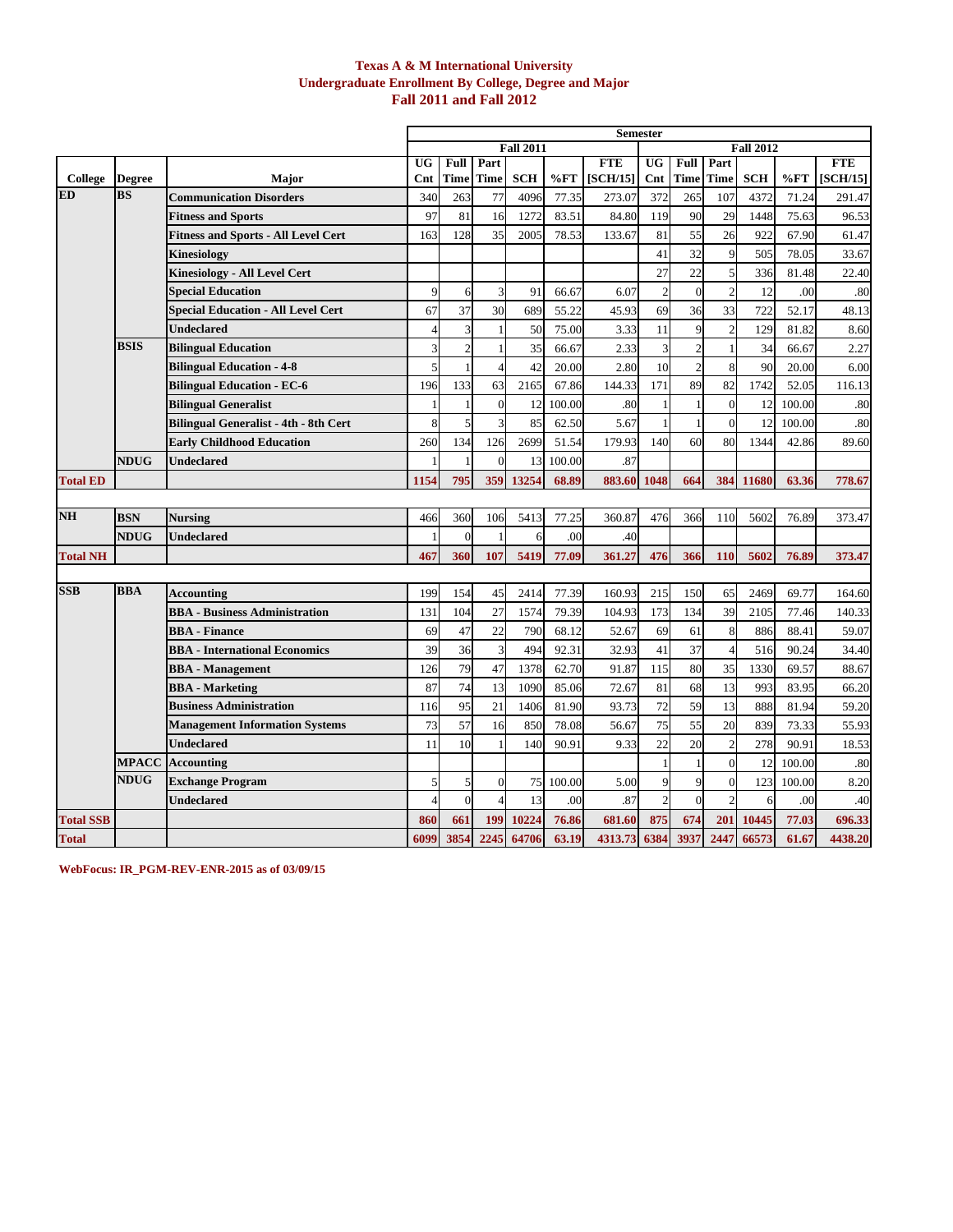### **Texas A & M International University Undergraduate Enrollment By College, Degree and Major Fall 2011 and Fall 2012**

|                      |                            |                                              |                          |            |              |                  |        |                 | <b>Semester</b> |                |                |                  |        |            |
|----------------------|----------------------------|----------------------------------------------|--------------------------|------------|--------------|------------------|--------|-----------------|-----------------|----------------|----------------|------------------|--------|------------|
|                      |                            |                                              |                          |            |              | <b>Fall 2011</b> |        |                 |                 |                |                | <b>Fall 2012</b> |        |            |
|                      |                            |                                              | $\overline{\mathtt{UG}}$ | Full       | Part         |                  |        | <b>FTE</b>      | <b>UG</b>       | Full           | Part           |                  |        | <b>FTE</b> |
| College<br><b>ED</b> | <b>Degree</b><br><b>BS</b> | Major                                        | Cnt                      | Time       | Time         | <b>SCH</b>       | %FT    | <b>[SCH/15]</b> | Cnt             | Time           | Time           | <b>SCH</b>       | %FT    | [SCH/15]   |
|                      |                            | <b>Communication Disorders</b>               | 340                      | 263        | 77           | 4096             | 77.35  | 273.07          | 372             | 265            | 107            | 4372             | 71.24  | 291.47     |
|                      |                            | <b>Fitness and Sports</b>                    | 97                       | 81         | 16           | 1272             | 83.51  | 84.80           | 119             | 90             | 29             | 1448             | 75.63  | 96.53      |
|                      |                            | <b>Fitness and Sports - All Level Cert</b>   | 163                      | 128        | 35           | 2005             | 78.53  | 133.67          | 81              | 55             | 26             | 922              | 67.90  | 61.47      |
|                      |                            | Kinesiology                                  |                          |            |              |                  |        |                 | 41              | 32             | 9              | 505              | 78.05  | 33.67      |
|                      |                            | <b>Kinesiology - All Level Cert</b>          |                          |            |              |                  |        |                 | 27              | 22             | 5              | 336              | 81.48  | 22.40      |
|                      |                            | <b>Special Education</b>                     | $\mathbf Q$              | 6          | 3            | 91               | 66.67  | 6.07            | $\overline{2}$  | $\overline{0}$ | $\overline{2}$ | 12               | .00    | .80        |
|                      |                            | <b>Special Education - All Level Cert</b>    | 67                       | 37         | 30           | 689              | 55.22  | 45.93           | 69              | 36             | 33             | 722              | 52.17  | 48.13      |
|                      |                            | Undeclared                                   | $\Delta$                 | 3          | $\mathbf{1}$ | 50               | 75.00  | 3.33            | 11              | $\mathbf Q$    | $\mathfrak{D}$ | 129              | 81.82  | 8.60       |
|                      | <b>BSIS</b>                | <b>Bilingual Education</b>                   | $\overline{3}$           | 2          |              | 35               | 66.67  | 2.33            | $\overline{3}$  | $\overline{2}$ |                | 34               | 66.67  | 2.27       |
|                      |                            | <b>Bilingual Education - 4-8</b>             | 5                        |            | $\Delta$     | 42               | 20.00  | 2.80            | 10              | $\overline{c}$ | 8              | 90               | 20.00  | 6.00       |
|                      |                            | <b>Bilingual Education - EC-6</b>            | 196                      | 133        | 63           | 2165             | 67.86  | 144.33          | 171             | 89             | 82             | 1742             | 52.05  | 116.13     |
|                      |                            | <b>Bilingual Generalist</b>                  |                          |            | $\theta$     | 12               | 100.00 | .80             |                 |                | $\theta$       | 12               | 100.00 | .80        |
|                      |                            | <b>Bilingual Generalist - 4th - 8th Cert</b> | 8                        | 5          | 3            | 85               | 62.50  | 5.67            |                 |                | $\Omega$       | 12               | 100.00 | .80        |
|                      |                            | <b>Early Childhood Education</b>             | 260                      | 134        | 126          | 2699             | 51.54  | 179.93          | 140             | 60             | 80             | 1344             | 42.86  | 89.60      |
|                      | <b>NDUG</b>                | <b>Undeclared</b>                            |                          |            | $\Omega$     | 13               | 100.00 | .87             |                 |                |                |                  |        |            |
| <b>Total ED</b>      |                            |                                              | 1154                     | 795        | 359          | 13254            | 68.89  | 883.60          | 1048            | 664            | 384            | 11680            | 63.36  | 778.67     |
|                      |                            |                                              |                          |            |              |                  |        |                 |                 |                |                |                  |        |            |
| <b>NH</b>            | <b>BSN</b>                 | <b>Nursing</b>                               | 466                      | 360        | 106          | 5413             | 77.25  | 360.87          | 476             | 366            | 110            | 5602             | 76.89  | 373.47     |
|                      | <b>NDUG</b>                | <b>Undeclared</b>                            |                          | $\sqrt{ }$ |              | 6                | .00    | .40             |                 |                |                |                  |        |            |
| <b>Total NH</b>      |                            |                                              | 467                      | 360        | 107          | 5419             | 77.09  | 361.27          | 476             | 366            | 110            | 5602             | 76.89  | 373.47     |
|                      |                            |                                              |                          |            |              |                  |        |                 |                 |                |                |                  |        |            |
| <b>SSB</b>           | <b>BBA</b>                 | Accounting                                   | 199                      | 154        | 45           | 2414             | 77.39  | 160.93          | 215             | 150            | 65             | 2469             | 69.77  | 164.60     |
|                      |                            | <b>BBA</b> - Business Administration         | 131                      | 104        | 27           | 1574             | 79.39  | 104.93          | 173             | 134            | 39             | 2105             | 77.46  | 140.33     |
|                      |                            | <b>BBA</b> - Finance                         | 69                       | 47         | 22           | 790              | 68.12  | 52.67           | 69              | 61             | 8              | 886              | 88.41  | 59.07      |
|                      |                            | <b>BBA</b> - International Economics         | 39                       | 36         | 3            | 494              | 92.31  | 32.93           | 41              | 37             | $\overline{4}$ | 516              | 90.24  | 34.40      |
|                      |                            | <b>BBA</b> - Management                      | 126                      | 79         | 47           | 1378             | 62.70  | 91.87           | 115             | 80             | 35             | 1330             | 69.57  | 88.67      |
|                      |                            | <b>BBA - Marketing</b>                       | 87                       | 74         | 13           | 1090             | 85.06  | 72.67           | 81              | 68             | 13             | 993              | 83.95  | 66.20      |
|                      |                            | <b>Business Administration</b>               | 116                      | 95         | 21           | 1406             | 81.90  | 93.73           | 72              | 59             | 13             | 888              | 81.94  | 59.20      |
|                      |                            | <b>Management Information Systems</b>        | 73                       | 57         | 16           | 850              | 78.08  | 56.67           | 75              | 55             | 20             | 839              | 73.33  | 55.93      |
|                      |                            | Undeclared                                   | 11                       | 10         |              | 140              | 90.91  | 9.33            | 22              | 20             | $\overline{c}$ | 278              | 90.91  | 18.53      |
|                      | <b>MPACC</b>               | <b>Accounting</b>                            |                          |            |              |                  |        |                 |                 | $\mathbf{1}$   | $\Omega$       | 12               | 100.00 | .80        |
|                      | NDUG                       | <b>Exchange Program</b>                      | 5                        | 5          | $\theta$     | 75               | 100.00 | 5.00            | $\mathbf Q$     | $\mathbf Q$    | $\mathbf{0}$   | 123              | 100.00 | 8.20       |
|                      |                            | Undeclared                                   | $\overline{\Delta}$      | $\Omega$   | 4            | 13               | .00    | .87             | $\overline{2}$  | $\theta$       | $\mathcal{D}$  | 6                | .00    | .40        |
| <b>Total SSB</b>     |                            |                                              | 860                      | 661        | 199          | 10224            | 76.86  | 681.60          | 875             | 674            | 201            | 10445            | 77.03  | 696.33     |
| <b>Total</b>         |                            |                                              | 6099                     | 3854       | 2245         | 64706            | 63.19  | 4313.73 6384    |                 | 3937           | 2447           | 66573            | 61.67  | 4438.20    |

**WebFocus: IR\_PGM-REV-ENR-2015 as of 03/09/15**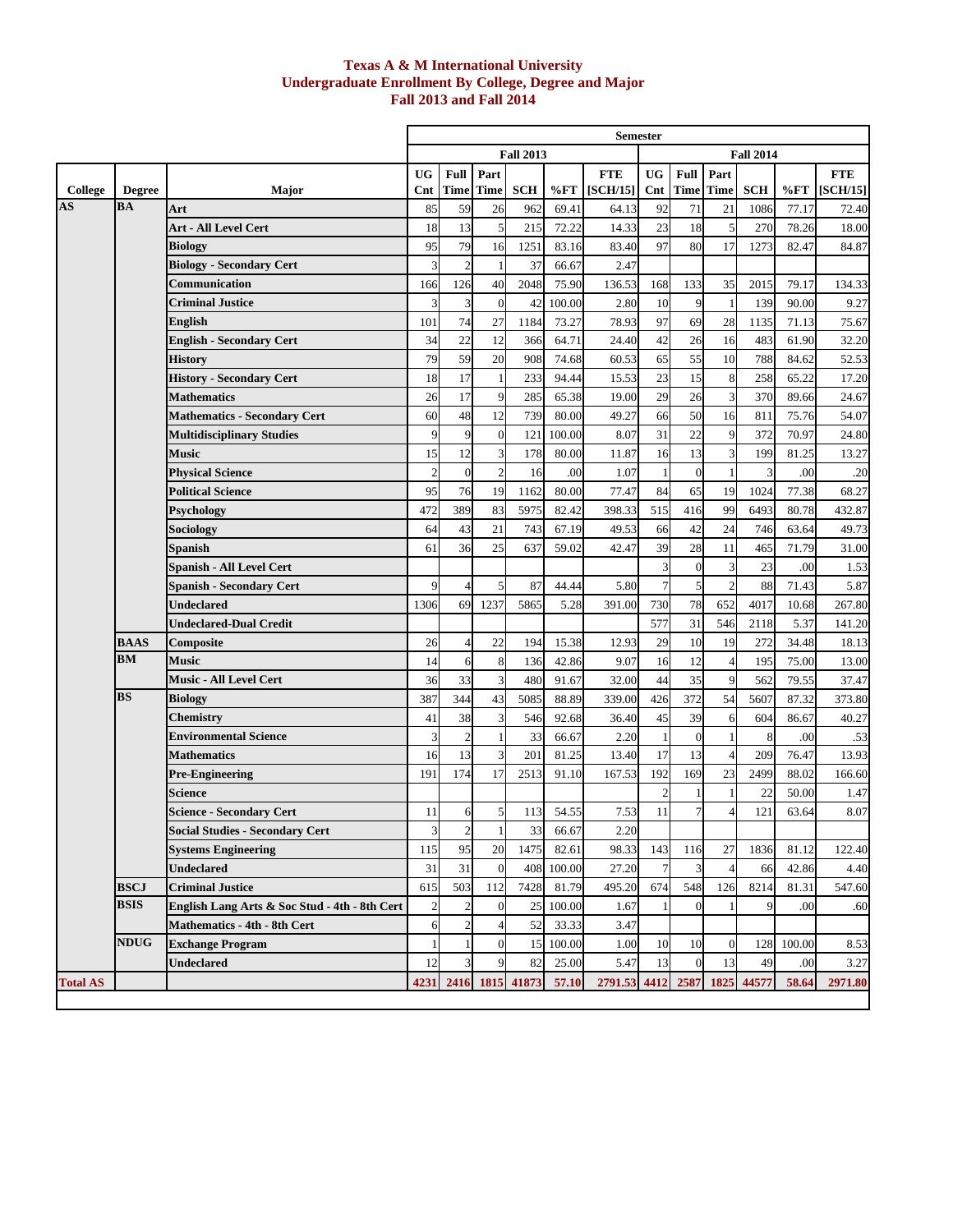### **Texas A & M International University Undergraduate Enrollment By College, Degree and Major Fall 2013 and Fall 2014**

|                                   |                            |                                               |                |                |                          |                  |        | <b>Semester</b> |                         |                |                |                  |            |            |
|-----------------------------------|----------------------------|-----------------------------------------------|----------------|----------------|--------------------------|------------------|--------|-----------------|-------------------------|----------------|----------------|------------------|------------|------------|
|                                   |                            |                                               |                |                |                          | <b>Fall 2013</b> |        |                 |                         |                |                | <b>Fall 2014</b> |            |            |
|                                   |                            |                                               | <b>UG</b>      | Full           | Part                     |                  |        | <b>FTE</b>      | <b>UG</b>               | Full           | Part           |                  |            | <b>FTE</b> |
| College                           | <b>Degree</b>              | <b>Major</b>                                  | $_{\rm Cnt}$   | <b>Time</b>    | <b>Time</b>              | <b>SCH</b>       | %FT    | [SCH/15]        |                         | Cnt Time       | <b>Time</b>    | <b>SCH</b>       | %FT        | [SCH/15]   |
| $\overline{\mathbf{A}}\mathbf{S}$ | <b>BA</b>                  | Art                                           | 85             | 59             | 26                       | 962              | 69.41  | 64.13           | 92                      | 71             | 21             | 1086             | 77.17      | 72.40      |
|                                   |                            | <b>Art - All Level Cert</b>                   | 18             | 13             | 5                        | 215              | 72.22  | 14.33           | 23                      | 18             | 5              | 270              | 78.26      | 18.00      |
|                                   |                            | <b>Biology</b>                                | 95             | 79             | 16                       | 1251             | 83.16  | 83.40           | 97                      | 80             | 17             | 1273             | 82.47      | 84.87      |
|                                   |                            | <b>Biology - Secondary Cert</b>               |                |                |                          | 37               | 66.67  | 2.47            |                         |                |                |                  |            |            |
|                                   |                            | Communication                                 | 166            | 126            | 40                       | 2048             | 75.90  | 136.53          | 168                     | 133            | 35             | 2015             | 79.17      | 134.33     |
|                                   |                            | <b>Criminal Justice</b>                       |                | 3              | $\mathbf{0}$             | 42               | 100.00 | 2.80            | 10                      | 9              |                | 139              | 90.00      | 9.27       |
|                                   |                            | English                                       | 101            | 74             | 27                       | 1184             | 73.27  | 78.93           | 97                      | 69             | 28             | 1135             | 71.13      | 75.67      |
|                                   |                            | <b>English - Secondary Cert</b>               | 34             | 22             | 12                       | 366              | 64.71  | 24.40           | 42                      | 26             | 16             | 483              | 61.90      | 32.20      |
|                                   |                            | History                                       | 79             | 59             | 20                       | 908              | 74.68  | 60.53           | 65                      | 55             | 10             | 788              | 84.62      | 52.53      |
|                                   |                            | <b>History - Secondary Cert</b>               | 18             | 17             |                          | 233              | 94.44  | 15.53           | 23                      | 15             | 8              | 258              | 65.22      | 17.20      |
|                                   |                            | <b>Mathematics</b>                            | 26             | 17             | 9                        | 285              | 65.38  | 19.00           | 29                      | 26             | 3              | 370              | 89.66      | 24.67      |
|                                   |                            | <b>Mathematics - Secondary Cert</b>           | 60             | 48             | 12                       | 739              | 80.00  | 49.27           | 66                      | 50             | 16             | 811              | 75.76      | 54.07      |
|                                   |                            | <b>Multidisciplinary Studies</b>              | 9              | 9              | $\overline{0}$           | 121              | 100.00 | 8.07            | 31                      | 22             | 9              | 372              | 70.97      | 24.80      |
|                                   |                            | Music                                         | 15             | 12             | 3                        | 178              | 80.00  | 11.87           | 16                      | 13             | 3              | 199              | 81.25      | 13.27      |
|                                   |                            | <b>Physical Science</b>                       | $\mathcal{D}$  | $\overline{0}$ | $\overline{2}$           | 16               | .00    | 1.07            | 1                       | $\overline{0}$ |                | 3                | .00        | .20        |
|                                   |                            | <b>Political Science</b>                      | 95             | 76             | 19                       | 1162             | 80.00  | 77.47           | 84                      | 65             | 19             | 1024             | 77.38      | 68.27      |
|                                   |                            | Psychology                                    | 472            | 389            | 83                       | 5975             | 82.42  | 398.33          | 515                     | 416            | 99             | 6493             | 80.78      | 432.87     |
|                                   |                            | Sociology                                     | 64             | 43             | 21                       | 743              | 67.19  | 49.53           | 66                      | 42             | 24             | 746              | 63.64      | 49.73      |
|                                   |                            | Spanish                                       | 61             | 36             | 25                       | 637              | 59.02  | 42.47           | 39                      | 28             | 11             | 465              | 71.79      | 31.00      |
|                                   |                            | Spanish - All Level Cert                      |                |                |                          |                  |        |                 | $\overline{\mathbf{3}}$ | $\overline{0}$ | 3              | 23               | .00        | 1.53       |
|                                   |                            | <b>Spanish - Secondary Cert</b>               |                |                | $\mathcal{F}$            | 87               | 44.44  | 5.80            | $7\phantom{.0}$         | 5              | $\overline{c}$ | 88               | 71.43      | 5.87       |
|                                   |                            | Undeclared                                    | 1306           | 69             | 1237                     | 5865             | 5.28   | 391.00          | 730                     | 78             | 652            | 4017             | 10.68      | 267.80     |
|                                   |                            | Undeclared-Dual Credit                        |                |                |                          |                  |        |                 | 577                     | 31             | 546            | 2118             | 5.37       | 141.20     |
|                                   | <b>BAAS</b>                | Composite                                     | 26             |                | 22                       | 194              | 15.38  | 12.93           | 29                      | 10             | 19             | 272              | 34.48      | 18.13      |
|                                   | BM                         | Music                                         | 14             | 6              | 8                        | 136              | 42.86  | 9.07            | 16                      | 12             | $\overline{4}$ | 195              | 75.00      | 13.00      |
|                                   |                            | <b>Music - All Level Cert</b>                 | 36             | 33             | $\overline{3}$           | 480              | 91.67  | 32.00           | 44                      | 35             | 9              | 562              | 79.55      | 37.47      |
|                                   | <b>BS</b>                  | Biology                                       | 387            | 344            | 43                       | 5085             | 88.89  | 339.00          | 426                     | 372            | 54             | 5607             | 87.32      | 373.80     |
|                                   |                            | Chemistry                                     | 41             | 38             | 3                        | 546              | 92.68  | 36.40           | 45                      | 39             | 6              | 604              | 86.67      | 40.27      |
|                                   |                            | <b>Environmental Science</b>                  |                | $\overline{c}$ |                          | 33               | 66.67  | 2.20            |                         | $\overline{0}$ |                | 8                | .00        | .53        |
|                                   |                            | <b>Mathematics</b>                            | 16             | 13             | 3                        | 201              | 81.25  | 13.40           | 17                      | 13             | $\overline{4}$ | 209              | 76.47      | 13.93      |
|                                   |                            | <b>Pre-Engineering</b>                        | 191            | 174            | 17                       | 2513             | 91.10  | 167.53          | 192                     | 169            | 23             | 2499             | 88.02      | 166.60     |
|                                   |                            | Science                                       |                |                |                          |                  |        |                 |                         |                |                | 22               | 50.00      | 1.47       |
|                                   |                            | <b>Science - Secondary Cert</b>               | 11             | 6              | $\mathbf{5}$             | 113              | 54.55  | 7.53            | 11                      | $\overline{7}$ | $\overline{4}$ | 121              | 63.64      | 8.07       |
|                                   |                            | <b>Social Studies - Secondary Cert</b>        | 3              | $\overline{2}$ | $\mathbf{1}$             | 33               | 66.67  | 2.20            |                         |                |                |                  |            |            |
|                                   |                            | <b>Systems Engineering</b>                    | 115            | 95             | 20                       | 1475             | 82.61  | 98.33           | 143                     | 116            | 27             | 1836             | 81.12      | 122.40     |
|                                   |                            | Undeclared                                    | 31             | 31             | $\mathbf{0}$             | 408              | 100.00 | 27.20           | 7                       | 3              | $\overline{4}$ | 66               | 42.86      | 4.40       |
|                                   | <b>BSCJ</b><br><b>BSIS</b> | <b>Criminal Justice</b>                       | 615            | 503            | 112                      | 7428             | 81.79  | 495.20          | 674                     | 548            | 126            | 8214             | 81.31      | 547.60     |
|                                   |                            | English Lang Arts & Soc Stud - 4th - 8th Cert | $\overline{c}$ |                | $\overline{0}$           | 25               | 100.00 | 1.67            |                         | $\Omega$       |                | 9                | .00        | .60        |
|                                   |                            | <b>Mathematics - 4th - 8th Cert</b>           | 6              |                | $\overline{\mathcal{L}}$ | 52               | 33.33  | 3.47            |                         |                |                |                  |            |            |
|                                   | <b>NDUG</b>                | <b>Exchange Program</b>                       |                |                | $\mathbf{0}$             | 15               | 100.00 | 1.00            | 10                      | 10             | $\mathbf{0}$   |                  | 128 100.00 | 8.53       |
|                                   |                            | <b>Undeclared</b>                             | 12             |                | 9                        | 82               | 25.00  | 5.47            | 13                      | $\mathbf{0}$   | 13             | 49               | .00        | 3.27       |
| <b>Total AS</b>                   |                            |                                               | 4231           | 2416           | 1815                     | 41873            | 57.10  | 2791.53 4412    |                         |                | 2587 1825      | 44577            | 58.64      | 2971.80    |
|                                   |                            |                                               |                |                |                          |                  |        |                 |                         |                |                |                  |            |            |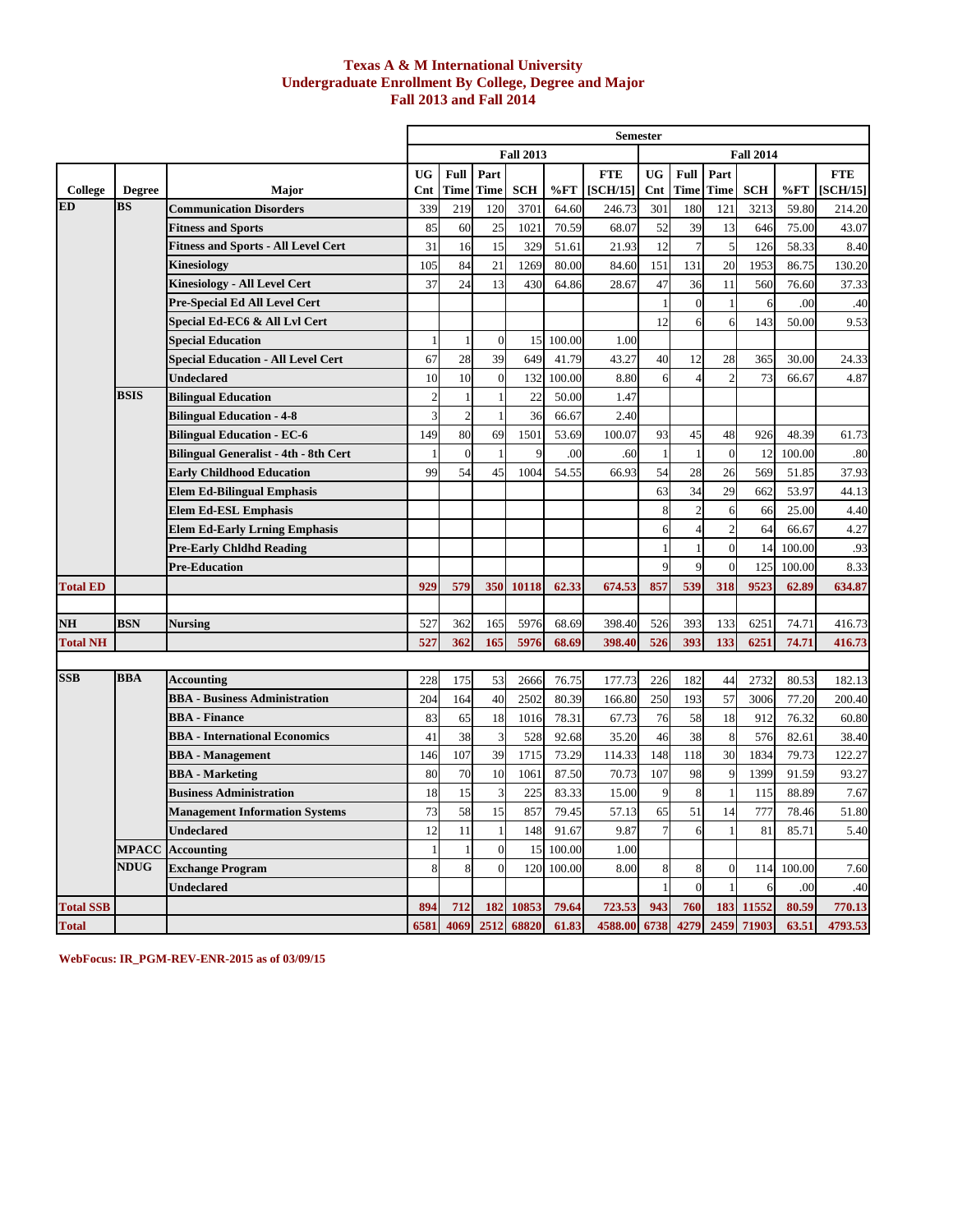### **Texas A & M International University Undergraduate Enrollment By College, Degree and Major Fall 2013 and Fall 2014**

|                  |               |                                              |                |              |             |                  |        | <b>Semester</b> |             |                |                |                  |        |            |
|------------------|---------------|----------------------------------------------|----------------|--------------|-------------|------------------|--------|-----------------|-------------|----------------|----------------|------------------|--------|------------|
|                  |               |                                              |                |              |             | <b>Fall 2013</b> |        |                 |             |                |                | <b>Fall 2014</b> |        |            |
|                  |               |                                              | <b>UG</b>      | Full         | Part        |                  |        | <b>FTE</b>      | <b>UG</b>   | Full           | Part           |                  |        | <b>FTE</b> |
| College          | <b>Degree</b> | <b>Major</b>                                 | Cnt            | Time         | <b>Time</b> | <b>SCH</b>       | %FT    | [SCH/15]        | Cnt         | Time           | Time           | <b>SCH</b>       | %FT    | [SCH/15]   |
| ED               | <b>BS</b>     | <b>Communication Disorders</b>               | 339            | 219          | 120         | 3701             | 64.60  | 246.73          | 301         | 180            | 121            | 3213             | 59.80  | 214.20     |
|                  |               | <b>Fitness and Sports</b>                    | 85             | 60           | 25          | 1021             | 70.59  | 68.07           | 52          | 39             | 13             | 646              | 75.00  | 43.07      |
|                  |               | <b>Fitness and Sports - All Level Cert</b>   | 31             | 16           | 15          | 329              | 51.61  | 21.93           | 12          | $\overline{7}$ | 5              | 126              | 58.33  | 8.40       |
|                  |               | Kinesiology                                  | 105            | 84           | 21          | 1269             | 80.00  | 84.60           | 151         | 131            | 20             | 1953             | 86.75  | 130.20     |
|                  |               | <b>Kinesiology - All Level Cert</b>          | 37             | 24           | 13          | 430              | 64.86  | 28.67           | 47          | 36             | 11             | 560              | 76.60  | 37.33      |
|                  |               | Pre-Special Ed All Level Cert                |                |              |             |                  |        |                 |             | $\Omega$       |                | 6                | .00    | .40        |
|                  |               | Special Ed-EC6 & All Lvl Cert                |                |              |             |                  |        |                 | 12          | 6              | 6              | 143              | 50.00  | 9.53       |
|                  |               | <b>Special Education</b>                     |                |              | $\theta$    | 15               | 100.00 | 1.00            |             |                |                |                  |        |            |
|                  |               | <b>Special Education - All Level Cert</b>    | 67             | 28           | 39          | 649              | 41.79  | 43.27           | 40          | 12             | 28             | 365              | 30.00  | 24.33      |
|                  |               | Undeclared                                   | 10             | 10           | $\Omega$    | 132              | 100.00 | 8.80            | 6           |                | $\mathfrak{D}$ | 73               | 66.67  | 4.87       |
|                  | <b>BSIS</b>   | <b>Bilingual Education</b>                   | $\overline{2}$ |              |             | 22               | 50.00  | 1.47            |             |                |                |                  |        |            |
|                  |               | <b>Bilingual Education - 4-8</b>             |                |              |             | 36               | 66.67  | 2.40            |             |                |                |                  |        |            |
|                  |               | <b>Bilingual Education - EC-6</b>            | 149            | 80           | 69          | 1501             | 53.69  | 100.07          | 93          | 45             | 48             | 926              | 48.39  | 61.73      |
|                  |               | <b>Bilingual Generalist - 4th - 8th Cert</b> |                | $\theta$     |             | $\overline{Q}$   | .00    | .60             |             |                | $\theta$       | 12               | 100.00 | .80        |
|                  |               | <b>Early Childhood Education</b>             | 99             | 54           | 45          | 1004             | 54.55  | 66.93           | 54          | 28             | 26             | 569              | 51.85  | 37.93      |
|                  |               | <b>Elem Ed-Bilingual Emphasis</b>            |                |              |             |                  |        |                 | 63          | 34             | 29             | 662              | 53.97  | 44.13      |
|                  |               | <b>Elem Ed-ESL Emphasis</b>                  |                |              |             |                  |        |                 | 8           | $\overline{2}$ | 6              | 66               | 25.00  | 4.40       |
|                  |               | <b>Elem Ed-Early Lrning Emphasis</b>         |                |              |             |                  |        |                 | 6           | $\overline{4}$ | $\overline{2}$ | 64               | 66.67  | 4.27       |
|                  |               | <b>Pre-Early Chldhd Reading</b>              |                |              |             |                  |        |                 |             |                | $\mathbf{0}$   | 14               | 100.00 | .93        |
|                  |               | <b>Pre-Education</b>                         |                |              |             |                  |        |                 |             | 9              | $\theta$       | 125              | 100.00 | 8.33       |
| <b>Total ED</b>  |               |                                              | 929            | 579          | 350         | 10118            | 62.33  | 674.53          | 857         | 539            | 318            | 9523             | 62.89  | 634.87     |
|                  |               |                                              |                |              |             |                  |        |                 |             |                |                |                  |        |            |
| NH               | <b>BSN</b>    | Nursing                                      | 527            | 362          | 165         | 5976             | 68.69  | 398.40          | 526         | 393            | 133            | 6251             | 74.71  | 416.73     |
| <b>Total NH</b>  |               |                                              | 527            | 362          | 165         | 5976             | 68.69  | 398.40          | 526         | 393            | 133            | 6251             | 74.71  | 416.73     |
|                  |               |                                              |                |              |             |                  |        |                 |             |                |                |                  |        |            |
| <b>SSB</b>       | <b>BBA</b>    | <b>Accounting</b>                            | 228            | 175          | 53          | 2666             | 76.75  | 177.73          | 226         | 182            | 44             | 2732             | 80.53  | 182.13     |
|                  |               | <b>BBA - Business Administration</b>         | 204            | 164          | 40          | 2502             | 80.39  | 166.80          | 250         | 193            | 57             | 3006             | 77.20  | 200.40     |
|                  |               | <b>BBA</b> - Finance                         | 83             | 65           | 18          | 1016             | 78.31  | 67.73           | 76          | 58             | 18             | 912              | 76.32  | 60.80      |
|                  |               | <b>BBA</b> - International Economics         | 41             | 38           | 3           | 528              | 92.68  | 35.20           | 46          | 38             | 8              | 576              | 82.61  | 38.40      |
|                  |               | <b>BBA</b> - Management                      | 146            | 107          | 39          | 1715             | 73.29  | 114.33          | 148         | 118            | 30             | 1834             | 79.73  | 122.27     |
|                  |               | <b>BBA</b> - Marketing                       | 80             | 70           | 10          | 1061             | 87.50  | 70.73           | 107         | 98             | 9              | 1399             | 91.59  | 93.27      |
|                  |               | <b>Business Administration</b>               | 18             | 15           | 3           | 225              | 83.33  | 15.00           | $\mathbf Q$ | 8              |                | 115              | 88.89  | 7.67       |
|                  |               | <b>Management Information Systems</b>        | 73             | 58           | 15          | 857              | 79.45  | 57.13           | 65          | 51             | 14             | 777              | 78.46  | 51.80      |
|                  |               | <b>Undeclared</b>                            | 12             | 11           |             | 148              | 91.67  | 9.87            |             | 6              |                | 81               | 85.71  | 5.40       |
|                  | <b>MPACC</b>  | <b>Accounting</b>                            |                |              |             | 15               | 100.00 | 1.00            |             |                |                |                  |        |            |
|                  | <b>NDUG</b>   | <b>Exchange Program</b>                      |                | $\mathbf{8}$ | $\Omega$    | 120              | 100.00 | 8.00            | 8           | 8              | $\Omega$       | 114              | 100.00 | 7.60       |
|                  |               | Undeclared                                   |                |              |             |                  |        |                 |             | $\Omega$       |                |                  | .00    | .40        |
| <b>Total SSB</b> |               |                                              | 894            | 712          | 182         | 10853            | 79.64  | 723.53          | 943         | 760            | 183            | 11552            | 80.59  | 770.13     |
| <b>Total</b>     |               |                                              | 6581           | 4069         | 2512        | 68820            | 61.83  | 4588.00         | 6738        | 4279           | 2459           | 71903            | 63.51  | 4793.53    |

**WebFocus: IR\_PGM-REV-ENR-2015 as of 03/09/15**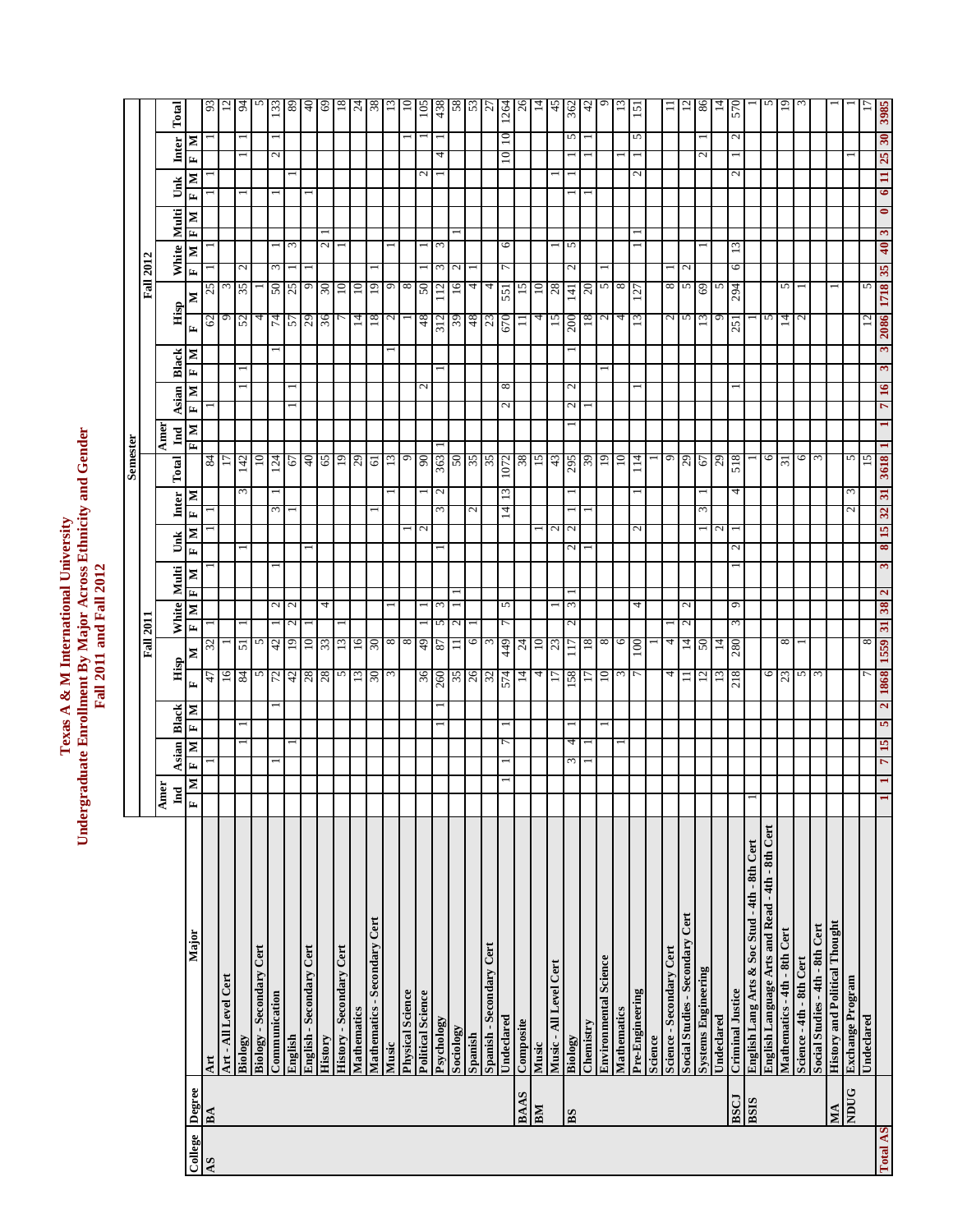# Texas A & M International University<br>Undergraduate Enrollment By Major Across Ethnicity and Gender<br>Fall 2011 and Fall 2012 **Undergraduate Enrollment By Major Across Ethnicity and Gender Texas A & M International University Fall 2011 and Fall 2012**

**Semester**

Semester

|          |             |                                                 |                                     |       |        |        |                  | <b>Fall 2011</b> |                        |              |   |                              |                               |       |                 |                             |                                                  |                |         |                | Fall 2012                 |                 |                |           |               |                                   |                  |
|----------|-------------|-------------------------------------------------|-------------------------------------|-------|--------|--------|------------------|------------------|------------------------|--------------|---|------------------------------|-------------------------------|-------|-----------------|-----------------------------|--------------------------------------------------|----------------|---------|----------------|---------------------------|-----------------|----------------|-----------|---------------|-----------------------------------|------------------|
|          |             |                                                 | ner<br>$\overline{\mathbf{L}}$<br>통 | Asian |        | Black  | Hisp             |                  | White                  | Multi        |   | Unk                          | Inter                         | Total | $\mathbf{Ind}$  | Amer                        | Asian                                            | <b>Black</b>   |         | Hisp           |                           | White           | Multi          | Unk       |               | Inter                             | Total            |
| College  | Degree      | Major                                           | и<br>E                              | E     | E<br>Σ | Σ      | E                | Σ                | $\mathbf{z}$<br>E      | Л            | Σ | $\mathbf{z}$<br>E            | Σ<br>E                        |       |                 | $\mathbf{N}$   $\mathbf{N}$ | Σ<br>E                                           | E              | E,<br>Σ | Σ              | $\mathbf{r}$              | Σ               | Σ<br>Ł         | Ŀ         | Σ             | Σ<br>E                            |                  |
| AS       | ВA          | Art                                             |                                     |       |        |        | 47               | 32               |                        |              |   |                              |                               |       | $rac{84}{17}$   |                             |                                                  |                |         | 62             | 25                        |                 |                |           |               |                                   | 93               |
|          |             | Art - All Level Cert                            |                                     |       |        |        | 16               |                  |                        |              |   |                              |                               |       |                 |                             |                                                  |                |         | $\Theta$       |                           |                 |                |           |               |                                   | 12               |
|          |             | Biology                                         |                                     |       |        |        | 84               | $\overline{51}$  |                        |              |   |                              |                               | ε     | 142             |                             |                                                  |                |         | 52             | N<br>35                   |                 |                |           |               |                                   | 94               |
|          |             | Biology - Secondary Cert                        |                                     |       |        |        | S                | 5                |                        |              |   |                              |                               |       | $\overline{10}$ |                             |                                                  |                |         | 4              |                           |                 |                |           |               |                                   |                  |
|          |             | Communication                                   |                                     |       |        |        | 72               | 42               | 2                      |              |   |                              | $\omega$                      |       | $^{124}$        |                             |                                                  |                |         | 74             | $\omega$<br>50            |                 |                |           |               | $\sim$                            | 133              |
|          |             | English                                         |                                     |       |        |        |                  | 19               | $\mathbf{c}$<br>$\sim$ |              |   |                              |                               |       | 67              |                             |                                                  |                |         |                | 25                        | $\omega$        |                |           |               |                                   | 89               |
|          |             | English - Secondary Cert                        |                                     |       |        |        | $\frac{42}{28}$  | $\overline{10}$  |                        |              |   |                              |                               |       | $^{0+}$         |                             |                                                  |                |         | 57<br>29       | $\circ$                   |                 |                |           |               |                                   | 0t               |
|          |             | History                                         |                                     |       |        |        | 28               | 33               | 4                      |              |   |                              |                               |       | 65              |                             |                                                  |                |         | 36             | $30\,$                    | 2               |                |           |               |                                   | 69               |
|          |             | History - Secondary Cert                        |                                     |       |        |        | n                | 13               |                        |              |   |                              |                               |       |                 |                             |                                                  |                |         |                | $\overline{10}$           |                 |                |           |               |                                   | 18               |
|          |             | <b>Mathematics</b>                              |                                     |       |        |        | 13               | 16               |                        |              |   |                              |                               |       | $19$<br>$29$    |                             |                                                  |                |         | 14             | $10 \frac{1}{2}$          |                 |                |           |               |                                   |                  |
|          |             | Mathematics - Secondary Cert                    |                                     |       |        |        | $0\epsilon$      | 30               |                        |              |   |                              |                               |       | 19              |                             |                                                  |                |         | 18             | 19                        |                 |                |           |               |                                   | $rac{24}{38}$    |
|          |             | Music                                           |                                     |       |        |        |                  | 8                |                        |              |   |                              |                               |       | 13              |                             |                                                  |                |         | 2              | 9                         |                 |                |           |               |                                   | 13               |
|          |             | <b>Physical Science</b>                         |                                     |       |        |        |                  | $\infty$         |                        |              |   |                              |                               |       | 9               |                             |                                                  |                |         |                | $\infty$                  |                 |                |           |               |                                   | $\approx$        |
|          |             | <b>Political Science</b>                        |                                     |       |        |        |                  | $rac{49}{87}$    |                        |              |   |                              |                               |       | 90<br>363       |                             |                                                  |                |         | 48             | 50                        |                 |                |           |               |                                   | 105              |
|          |             | Psychology                                      |                                     |       |        |        | $\frac{36}{260}$ |                  | S                      |              |   |                              |                               |       |                 |                             |                                                  |                |         | 312            | ς<br>112                  | ξ               |                |           |               | 4                                 | 438              |
|          |             | Sociology                                       |                                     |       |        |        | 35               | $\equiv$         | $\mathbf{c}$           |              |   |                              |                               |       | 50              |                             |                                                  |                |         | 39             | 16                        |                 |                |           |               |                                   | 58               |
|          |             | Spanish                                         |                                     |       |        |        |                  | 6                |                        |              |   |                              | $\mathcal{L}$                 |       |                 |                             |                                                  |                |         |                | 4                         |                 |                |           |               |                                   |                  |
|          |             | Spanish - Secondary Cert                        |                                     |       |        |        | $rac{26}{32}$    |                  |                        |              |   |                              |                               |       | $\frac{35}{35}$ |                             |                                                  |                |         | $rac{48}{23}$  | 4                         |                 |                |           |               |                                   | 53               |
|          |             | Undeclared                                      |                                     |       |        |        | 574              | 449              | 5                      |              |   |                              | $\Xi$<br>$\vec{a}$            |       | 1072            |                             | $^{\circ}$<br>$\mathbf{\sim}$                    |                |         | 551<br>670     |                           | 0               |                |           |               | $\overline{10}$<br>$\overline{0}$ | 1264             |
|          | <b>BAAS</b> | Composite                                       |                                     |       |        |        | 14               | $^{24}$          |                        |              |   |                              |                               |       | 38              |                             |                                                  |                |         | $\equiv$       | 15                        |                 |                |           |               |                                   | $^{26}$          |
|          | BM          | Music                                           |                                     |       |        |        | 4                | $\frac{10}{23}$  |                        |              |   |                              |                               |       | $\frac{15}{43}$ |                             |                                                  |                |         | 4              | $\overline{10}$           |                 |                |           |               |                                   | 14               |
|          |             | Music - All Level Cert                          |                                     |       |        |        |                  |                  |                        |              |   |                              |                               |       |                 |                             |                                                  |                |         | 15             | 28                        |                 |                |           |               |                                   | 45               |
|          | BS          | Biology                                         |                                     | ω     | 4      |        | 158              | 117              | 3<br>$\sim$            |              |   | $\mathbf 2$<br>$\mathcal{L}$ |                               |       | 295             |                             | $\mathbf{\mathcal{L}}$<br>$\mathbf{\mathcal{L}}$ |                |         | 141<br>200     | $\sim$                    | 5               |                |           |               | S                                 | 362              |
|          |             | Chemistry                                       |                                     |       |        |        |                  | 18               |                        |              |   |                              |                               |       | 39              |                             |                                                  |                |         | 18             | 20                        |                 |                |           |               |                                   | 42               |
|          |             | <b>Environmental Science</b>                    |                                     |       |        |        | $\overline{10}$  | $\infty$         |                        |              |   |                              |                               |       | 19              |                             |                                                  |                |         | $\overline{2}$ | S.                        |                 |                |           |               |                                   |                  |
|          |             | Mathematics                                     |                                     |       |        |        | ς                | 6                |                        |              |   |                              |                               |       | 10              |                             |                                                  |                |         | $\overline{4}$ | $\infty$                  |                 |                |           |               |                                   |                  |
|          |             | Pre-Engineering                                 |                                     |       |        |        |                  | 100              | 4                      |              |   | $\mathrel{\sim}$             |                               |       | $\frac{14}{1}$  |                             |                                                  |                |         | 127<br>13      |                           |                 |                |           |               | S                                 | $\overline{151}$ |
|          |             | Science                                         |                                     |       |        |        |                  |                  |                        |              |   |                              |                               |       |                 |                             |                                                  |                |         |                |                           |                 |                |           |               |                                   |                  |
|          |             | Science - Secondary Cert                        |                                     |       |        |        | 4                | 4                |                        |              |   |                              |                               |       | $\overline{9}$  |                             |                                                  |                |         | $\frac{2}{5}$  | $\infty$                  |                 |                |           |               |                                   | $\equiv$         |
|          |             | Social Studies - Secondary Cert                 |                                     |       |        |        |                  | $\vec{4}$        | $\mathbf{c}$<br>2      |              |   |                              |                               |       | <b>29</b><br>67 |                             |                                                  |                |         |                | $\mathbf{\sim}$<br>$\sim$ |                 |                |           |               |                                   | $\overline{c}$   |
|          |             | <b>Systems Engineering</b>                      |                                     |       |        |        | 12               | 50               |                        |              |   |                              |                               |       |                 |                             |                                                  |                |         |                | 69                        |                 |                |           |               |                                   | 86               |
|          |             | Undeclared                                      |                                     |       |        |        | 13               | $\frac{14}{280}$ |                        |              |   |                              |                               |       | 67              |                             |                                                  |                |         | 6              | S                         |                 |                |           |               |                                   | 14               |
|          | <b>BSCJ</b> | Criminal Justice                                |                                     |       |        |        | 218              |                  | 9<br>3                 |              |   | N                            |                               | 4     | 518             |                             |                                                  |                |         | 294<br>251     | ७                         | $\overline{13}$ |                |           |               | N                                 | 570              |
|          | <b>BSIS</b> | English Lang Arts & Soc Stud - 4th - 8th Cert   |                                     |       |        |        |                  |                  |                        |              |   |                              |                               |       |                 |                             |                                                  |                |         |                |                           |                 |                |           |               |                                   |                  |
|          |             | English Language Arts and Read - 4th - 8th Cert |                                     |       |        |        | $\circ$          |                  |                        |              |   |                              |                               |       | 6               |                             |                                                  |                |         | 5              |                           |                 |                |           |               |                                   |                  |
|          |             | Mathematics - 4th - 8th Cert                    |                                     |       |        |        | 23               | 8                |                        |              |   |                              |                               |       | 31              |                             |                                                  |                |         | 14             | 5                         |                 |                |           |               |                                   | $\tilde{=}$      |
|          |             | Science - 4th - 8th Cert                        |                                     |       |        |        | $\sim$           |                  |                        |              |   |                              |                               |       | 6               |                             |                                                  |                |         | $\overline{c}$ |                           |                 |                |           |               |                                   |                  |
|          |             | Social Studies - 4th - 8th Cert                 |                                     |       |        |        | $\sim$           |                  |                        |              |   |                              |                               |       | $\mathcal{E}$   |                             |                                                  |                |         |                |                           |                 |                |           |               |                                   |                  |
|          | MA          | <b>History and Political Thought</b>            |                                     |       |        |        |                  |                  |                        |              |   |                              |                               |       |                 |                             |                                                  |                |         |                |                           |                 |                |           |               |                                   |                  |
|          | <b>NDUG</b> | Exchange Program                                |                                     |       |        |        |                  |                  |                        |              |   |                              | $\mathcal{L}$                 | ξ     | 5               |                             |                                                  |                |         |                |                           |                 |                |           |               |                                   |                  |
|          |             | Undeclared                                      |                                     |       |        |        |                  | 8                |                        |              |   |                              |                               |       | $\overline{5}$  |                             |                                                  |                |         | $\overline{c}$ | 5                         |                 |                |           |               |                                   |                  |
| Total AS |             |                                                 |                                     | 7     | 15     | 2<br>5 | 1868             | 1559             | 38<br>31               | $\mathbf{c}$ | 3 | 15<br>8                      | $\overline{\mathbf{3}}$<br>32 | 3618  |                 |                             | 16<br>$\overline{ }$                             | $\mathfrak{g}$ | 3       | 1718<br>2086   | 35                        | 40              | $\bullet$<br>3 | $\bullet$ | $\mathbf{11}$ | 30<br>25                          | 3985             |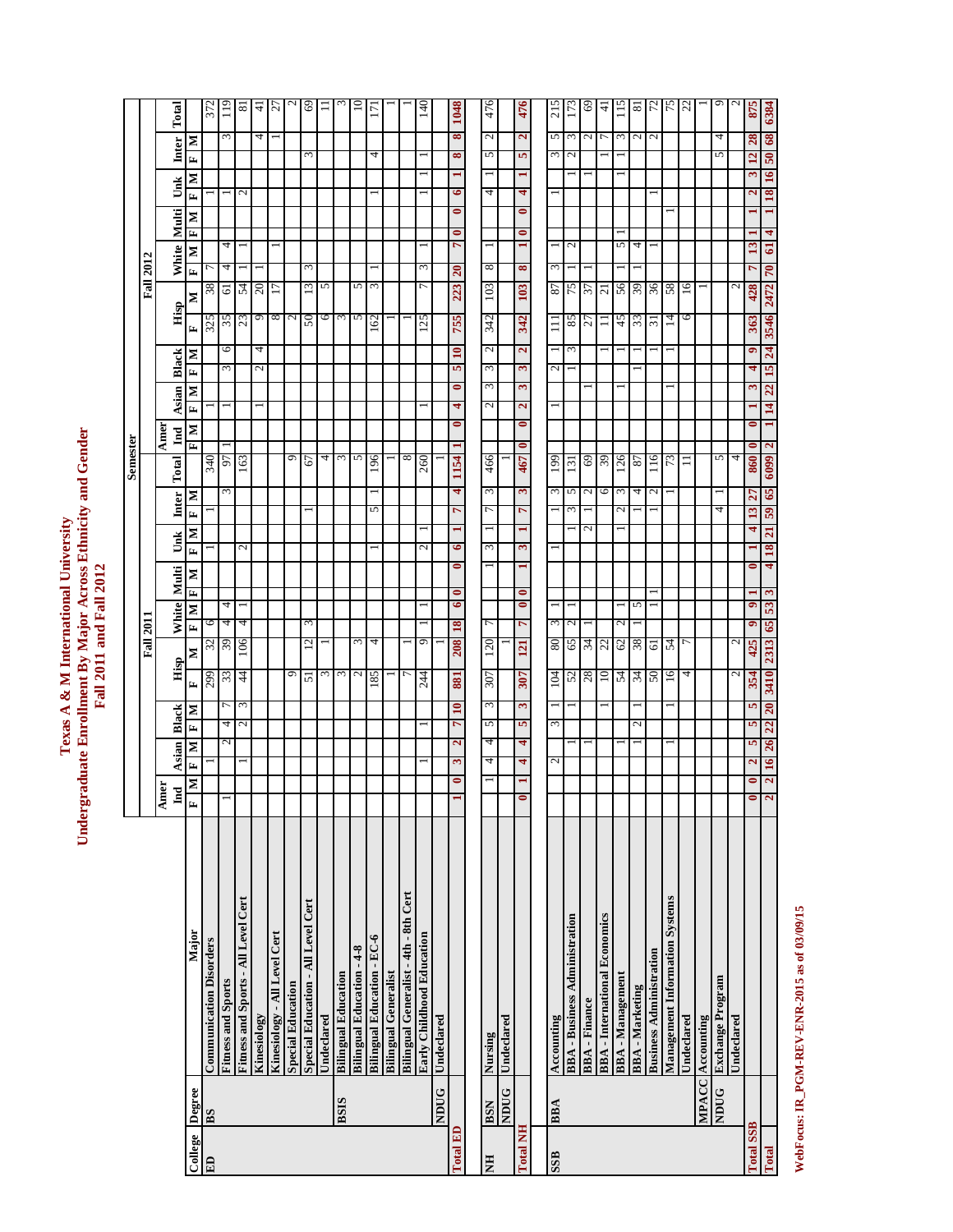| e Enrollment By Major Across Ethnicity and Gende<br>exas A & M International Univers<br>Fall 2011 and Fall 2012 |  |
|-----------------------------------------------------------------------------------------------------------------|--|
|-----------------------------------------------------------------------------------------------------------------|--|

**Semester**

**Semester** 

|                  |                |                                       |                         |                         |                    |                   |                 | <b>Fall 2011</b> |        |                |                |                |                              |               |                |                              |              |                              |                  |               | <b>Fall 2012</b> |                             |           |                         |                 |                 |                     |
|------------------|----------------|---------------------------------------|-------------------------|-------------------------|--------------------|-------------------|-----------------|------------------|--------|----------------|----------------|----------------|------------------------------|---------------|----------------|------------------------------|--------------|------------------------------|------------------|---------------|------------------|-----------------------------|-----------|-------------------------|-----------------|-----------------|---------------------|
|                  |                |                                       | Ame                     |                         |                    |                   |                 |                  |        |                |                |                |                              |               | Amer           |                              |              |                              |                  |               |                  |                             |           |                         |                 |                 |                     |
|                  |                |                                       | Lnd                     | <b>Asian</b>            |                    | <b>Black</b>      | Hisp            |                  | White  | Multi          |                | Unk            | <b>Inter</b>                 | Total         | Ind            |                              | <b>Asian</b> | Black                        |                  | Hisp          | White            |                             | Multi     | Unk                     |                 | Inter           | Total               |
| College          | Degree         | Major                                 | $\mathbf{N}$<br>E       | E                       | Σ                  | Σ<br>E            | E               | Σ                | Σ<br>E | Σ<br>E         | E              | Σ              | Σ<br>E                       |               | Σ<br>E         | E                            | Σ            | z<br>$\mathbf{r}$            | E                | ⋝             | E                | Ŀ<br>Σ                      | Σ         | Σ<br>E                  | E               | Σ               |                     |
| E                | B <sub>S</sub> | <b>Communication Disorders</b>        |                         |                         |                    |                   | 299             | 32               | 6      |                |                |                |                              | 340           |                |                              |              |                              | 325              | 38            |                  |                             |           |                         |                 |                 | 372                 |
|                  |                | <b>Fitness and Sports</b>             |                         |                         | 2                  | 4                 | 33              | 63               | 4      | 4              |                |                | 3                            | 5             |                |                              |              | $\infty$                     | 35<br>6          | 61            | 4                | 4                           |           |                         |                 | ς               | $\frac{1}{2}$       |
|                  |                | Fitness and Sports - All Level Cert   |                         |                         |                    | ω                 | $\frac{4}{4}$   | 106              | 4      |                | 2              |                |                              | 163           |                |                              |              |                              | 23               | 54            |                  |                             |           | $\mathbf{\sim}$         |                 |                 | $\infty$            |
|                  |                | Kinesiology                           |                         |                         |                    |                   |                 |                  |        |                |                |                |                              |               |                |                              |              | 2                            | ٥<br>4           | 20            |                  |                             |           |                         |                 | 4               | $\pm$               |
|                  |                | Kinesiology - All Level Cert          |                         |                         |                    |                   |                 |                  |        |                |                |                |                              |               |                |                              |              |                              | 8                |               |                  |                             |           |                         |                 |                 | $\sim$              |
|                  |                | <b>Special Education</b>              |                         |                         |                    |                   | 9               |                  |        |                |                |                |                              |               | ۰              |                              |              |                              | $\mathbf{C}$     |               |                  |                             |           |                         |                 |                 |                     |
|                  |                | Special Education - All Level Cert    |                         |                         |                    |                   | 51              | $\overline{c}$   | 3      |                |                |                |                              | 67            |                |                              |              |                              | 50               | 13            | ξ                |                             |           |                         | 3               |                 | 69                  |
|                  |                | Undeclared                            |                         |                         |                    |                   | ξ               |                  |        |                |                |                |                              |               | 4              |                              |              |                              | 6                | 5             |                  |                             |           |                         |                 |                 |                     |
|                  | <b>BSIS</b>    | <b>Bilingual Education</b>            |                         |                         |                    |                   | 3               |                  |        |                |                |                |                              |               | $\omega$       |                              |              |                              | 3                |               |                  |                             |           |                         |                 |                 |                     |
|                  |                | <b>Bilingual Education - 4-8</b>      |                         |                         |                    |                   | $\mathbf{\sim}$ | 3                |        |                |                |                |                              |               | 5              |                              |              |                              | 5                | 5             |                  |                             |           |                         |                 |                 |                     |
|                  |                | <b>Bilingual Education - EC-6</b>     |                         |                         |                    |                   | 185             | 4                |        |                |                |                | 5                            | 196           |                |                              |              |                              | 162              | 3             |                  |                             |           |                         | 4               |                 | $\overline{17}$     |
|                  |                | <b>Bilingual Generalist</b>           |                         |                         |                    |                   |                 |                  |        |                |                |                |                              |               |                |                              |              |                              |                  |               |                  |                             |           |                         |                 |                 |                     |
|                  |                | Bilingual Generalist - 4th - 8th Cert |                         |                         |                    |                   |                 |                  |        |                |                |                |                              |               | $^{\circ}$     |                              |              |                              |                  |               |                  |                             |           |                         |                 |                 |                     |
|                  |                | Early Childhood Education             |                         |                         |                    |                   | 244             | 9                |        |                | $\mathcal{L}$  |                |                              | 260           |                |                              |              |                              | 125              | ٣             | 3                |                             |           |                         |                 |                 | $\frac{140}{1}$     |
|                  | <b>NDUG</b>    | Undeclared                            |                         |                         |                    |                   |                 |                  |        |                |                |                |                              |               |                |                              |              |                              |                  |               |                  |                             |           |                         |                 |                 |                     |
| <b>Total ED</b>  |                |                                       |                         | ઌ                       | $\mathbf{\hat{z}}$ | $\mathbf{a}$<br>٣ | 881             | 208              | 18     | 0<br>6         | $\bullet$<br>0 |                | 4<br>r                       | 1154          |                | 4<br>$\bullet$               | 0            | $\mathbf{a}$<br>5            | 755              | 223           | 20               | $\bullet$<br>$\overline{ }$ | $\bullet$ | ৽                       | $\infty$        | $\infty$        | 1048                |
|                  |                |                                       |                         |                         |                    |                   |                 |                  |        |                |                |                |                              |               |                |                              |              |                              |                  |               |                  |                             |           |                         |                 |                 |                     |
| E                | <b>BSN</b>     | Nursing                               |                         | 4                       | 4                  | 3<br>5            | 307             | 120              | 7      |                | $\epsilon$     |                | $\epsilon$<br>$\overline{ }$ | 466           |                | $\mathcal{L}$                | 3            | 3                            | 342<br>2         | 103           | 8                |                             |           | 4                       | S               | $\mathcal{L}$   | 476                 |
|                  | <b>NDUG</b>    | Undeclared                            |                         |                         |                    |                   |                 |                  |        |                |                |                |                              |               |                |                              |              |                              |                  |               |                  |                             |           |                         |                 |                 |                     |
| <b>Total NH</b>  |                |                                       | $\bullet$               | 4                       | 4                  | S<br>5            | 307             | 121              | 7      | 0<br>$\bullet$ | ω              | $\blacksquare$ | ω<br>r                       | 467           | $\bullet$      | $\overline{\mathbf{c}}$<br>0 | 3            | $\overline{\mathbf{c}}$<br>3 | 342              | 103           | 8                | $\bullet$                   | $\bullet$ | 4                       | 5               | $\mathbf{z}$    | 476                 |
|                  |                |                                       |                         |                         |                    |                   |                 |                  |        |                |                |                |                              |               |                |                              |              |                              |                  |               |                  |                             |           |                         |                 |                 |                     |
| SSB              | <b>BBA</b>     | Accounting                            |                         | 2                       |                    | 3                 | 104             | 80               | 3      |                |                |                | $\epsilon$                   | 199           |                |                              |              | 2                            | $\overline{111}$ | 87            | 3                |                             |           |                         | 3               | 5               | 215                 |
|                  |                | <b>BBA</b> - Business Administration  |                         |                         |                    |                   | 52              | 65               | 2      |                |                |                | 5<br>$\epsilon$              | 131           |                |                              |              |                              | 85<br>3          | 75            |                  | 2                           |           |                         | $\mathbf{\sim}$ | $\epsilon$      | 173                 |
|                  |                | <b>BBA</b> - Finance                  |                         |                         |                    |                   | $^{28}$         | 34               |        |                |                | $\mathbf{c}$   | $\mathbf{c}$                 |               | 69             |                              |              |                              | 27               | 37            |                  |                             |           |                         |                 | $\mathcal{L}$   | 9                   |
|                  |                | <b>BBA</b> - International Economics  |                         |                         |                    |                   | $\Xi$           | 22               |        |                |                |                | $\circ$                      |               | 39             |                              |              |                              | コ                | 21            |                  |                             |           |                         |                 |                 | 4                   |
|                  |                | <b>BBA</b> - Management               |                         |                         |                    |                   | 54              | 62               | $\sim$ |                |                |                | N                            | 126<br>$\sim$ |                |                              |              |                              | 45               | 56            |                  | 5                           |           |                         |                 | $\mathfrak{m}$  |                     |
|                  |                | <b>BBA</b> - Marketing                |                         |                         |                    | $\sim$            | $rac{34}{50}$   | 38               |        | 5              |                |                | 4                            | 2             |                |                              |              |                              | 33               | 39            |                  | 4                           |           |                         |                 | $\sim$          | $\overline{\infty}$ |
|                  |                | <b>Business Administration</b>        |                         |                         |                    |                   |                 | <u>ଟ</u>         |        |                |                |                | 2                            | $\frac{6}{1}$ |                |                              |              |                              | ಸ                | 36            |                  |                             |           |                         |                 | $\mathbf{\sim}$ | 72                  |
|                  |                | <b>Management Information Systems</b> |                         |                         |                    |                   | $\frac{6}{1}$   | 54               |        |                |                |                |                              |               | 73             |                              |              |                              | $\vec{a}$        | 58            |                  |                             |           |                         |                 |                 | 75                  |
|                  |                | Undeclared                            |                         |                         |                    |                   | 4               |                  |        |                |                |                |                              | Ξ             |                |                              |              |                              | 6                | $\frac{6}{5}$ |                  |                             |           |                         |                 |                 | $\mathfrak{Z}$      |
|                  |                | MPACC Accounting                      |                         |                         |                    |                   |                 |                  |        |                |                |                |                              |               |                |                              |              |                              |                  |               |                  |                             |           |                         |                 |                 |                     |
|                  | <b>NDUG</b>    | Exchange Program                      |                         |                         |                    |                   |                 |                  |        |                |                |                | 4                            |               | 5              |                              |              |                              |                  |               |                  |                             |           |                         | $\sqrt{2}$      |                 |                     |
|                  |                | Undeclared                            |                         |                         |                    |                   | 2               | 2                |        |                |                |                |                              |               | 4              |                              |              |                              |                  | 2             |                  |                             |           |                         |                 |                 |                     |
| <b>Total SSB</b> |                |                                       | $\bullet$<br>$\bullet$  | $\overline{\mathbf{c}}$ | 5                  | 5<br>5            | 354             | 425              | 9      | ۰              | 0              | 4              | 27<br>13                     | 860           | 0              | $\bullet$                    | 3            | ۰<br>4                       | 363              | 428           | 7                | 13                          |           | $\overline{\mathbf{c}}$ | 12<br>3         | 28              | 875                 |
| Total            |                |                                       | $\overline{\mathbf{c}}$ | 16 26<br>2              |                    | 20<br>22          | 3410            | 2313 65          | 53     | 3              | 4              | 18 21          | 59 65                        | 6609          | $\overline{c}$ | 14                           | 22           | 24<br>15                     |                  | 3546 2472 70  |                  | 4<br>$\mathbf{G}$           |           |                         | 18 16 50 68     |                 | 6384                |

WebFocus: IR\_PGM-REV-ENR-2015 as of 03/09/15 **WebFocus: IR\_PGM-REV-ENR-2015 as of 03/09/15**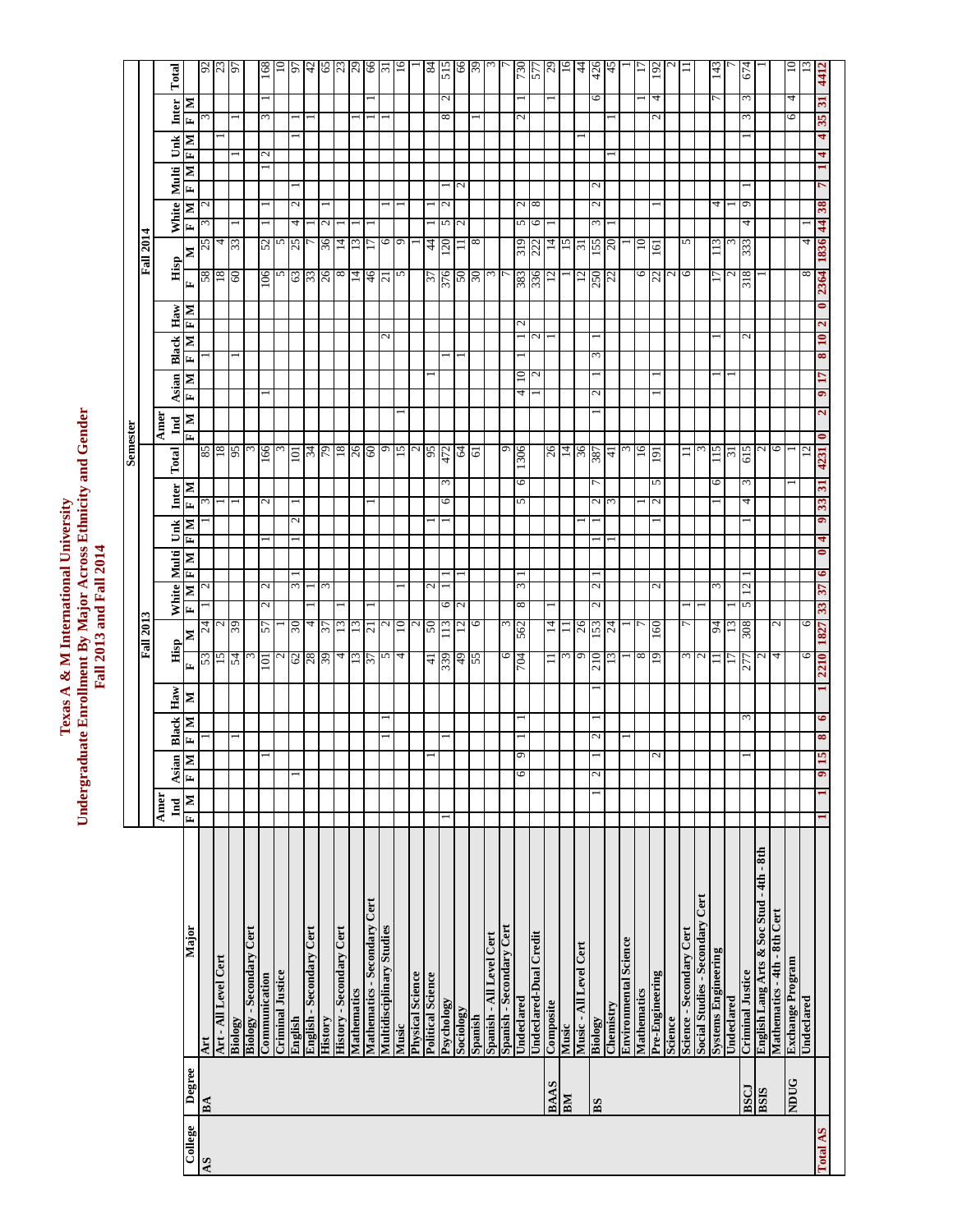Texas A & M International University<br>Undergraduate Enrollment By Major Across Ethnicity and Gender<br>Fall 2013 and Fall 2014 **Undergraduate Enrollment By Major Across Ethnicity and Gender Texas A & M International University Fall 2013 and Fall 2014**

**Semester**

**Semester** 

|          |             |                                          | Amer             |                                               |               |              |         | <b>Fall 2013</b> |                          |               |                             |                   |                             |                 | Amer                        |                                           |                          |                  |                   | <b>Fall 2014</b> |                     |                                           |                          |     |              |                         |                   |
|----------|-------------|------------------------------------------|------------------|-----------------------------------------------|---------------|--------------|---------|------------------|--------------------------|---------------|-----------------------------|-------------------|-----------------------------|-----------------|-----------------------------|-------------------------------------------|--------------------------|------------------|-------------------|------------------|---------------------|-------------------------------------------|--------------------------|-----|--------------|-------------------------|-------------------|
|          |             |                                          | Ind              |                                               |               | <b>Black</b> | Haw<br> | Hisp             |                          | White Multi   |                             | Unk               |                             | Total           | Ind                         | $\frac{\text{Again}}{\text{F}[\text{M}]}$ |                          | <b>Black</b>     | $\frac{Haw}{F M}$ | Hisp             |                     | $\frac{\text{White}}{\text{F} \text{M} }$ | Multi                    | Unk | Inter        |                         | Total             |
| College  | Degree      | Major                                    | $\mathbf M$<br>E | $\frac{\text{Again}}{\text{F} \mid \text{M}}$ | E             | N            | N       | Σ<br>E           | E                        | м             | $\mathbf{M}$   $\mathbf{H}$ | $\mathbf{z}$<br>H | $\frac{\rm Inter}{\rm F M}$ |                 | $\mathbf{N}$   $\mathbf{H}$ |                                           | E,                       | E<br>М           | E                 | N                |                     |                                           | м<br>E                   | NH  | E            | ⊠                       |                   |
| AS       | BA          | Art                                      |                  |                                               |               |              |         | 53               | $\overline{\mathcal{A}}$ | $\sim$        |                             |                   | ω                           | $rac{18}{35}$   |                             |                                           |                          |                  |                   | $\frac{58}{18}$  | ω<br>25             | $\sim$                                    |                          |     |              |                         | $rac{92}{97}$     |
|          |             | Art - All Level Cert                     |                  |                                               |               |              |         | $\mathfrak{c}_1$ | $rac{2}{39}$             |               |                             |                   |                             |                 |                             |                                           |                          |                  |                   |                  | 4                   |                                           |                          |     |              |                         |                   |
|          |             | Biology                                  |                  |                                               |               |              |         | 55               |                          |               |                             |                   |                             |                 |                             |                                           |                          |                  |                   | 09               | 55                  |                                           |                          |     |              |                         |                   |
|          |             | <b>Biology - Secondary Cert</b>          |                  |                                               |               |              |         |                  |                          |               |                             |                   |                             |                 | $\epsilon$                  |                                           |                          |                  |                   |                  |                     |                                           |                          |     |              |                         |                   |
|          |             | Communication                            |                  |                                               |               |              |         | 101              | $\mathcal{L}$<br>25      | $\mathbf{c}$  |                             |                   | $\sim$                      | 99              |                             |                                           |                          |                  |                   | 901              | 52                  |                                           |                          |     |              |                         | 891               |
|          |             | <b>Criminal Justice</b>                  |                  |                                               |               |              |         |                  |                          |               |                             |                   |                             |                 | 3                           |                                           |                          |                  |                   | 5                | 5                   |                                           |                          |     |              |                         | $\Xi$             |
|          |             | English                                  |                  |                                               |               |              |         |                  | $30\,$                   | ω             |                             |                   |                             | $\overline{a}$  |                             |                                           |                          |                  |                   |                  | 4<br>25             | N                                         |                          |     |              |                         | 56                |
|          |             | English - Secondary Cert                 |                  |                                               |               |              |         | <u>ପ</u> ଅ<br>ଅ  | 4                        |               |                             |                   |                             |                 |                             |                                           |                          |                  |                   | <u>ଞ୍ଜାସ</u>     |                     |                                           |                          |     |              |                         |                   |
|          |             | <b>History</b>                           |                  |                                               |               |              |         |                  | 22                       | 3             |                             |                   |                             | $\frac{34}{79}$ |                             |                                           |                          |                  |                   |                  | $\mathcal{L}$<br>96 |                                           |                          |     |              |                         |                   |
|          |             | <b>History - Secondary Cert</b>          |                  |                                               |               |              |         | 4                | 13                       |               |                             |                   |                             | 81              |                             |                                           |                          |                  |                   | $^{\circ}$       | $^{14}$             |                                           |                          |     |              |                         |                   |
|          |             | Mathematics                              |                  |                                               |               |              |         | εī               | $\mathbf{r}$             |               |                             |                   |                             | 26              |                             |                                           |                          |                  |                   | 14               | 13                  |                                           |                          |     |              |                         |                   |
|          |             | Mathematics - Secondary Cert             |                  |                                               |               |              |         | 57               | 21                       |               |                             |                   |                             | 60              |                             |                                           |                          |                  |                   | 46               | 17                  |                                           |                          |     |              |                         | 3 8 3 8 8         |
|          |             | Multidisciplinary Studies                |                  |                                               |               |              |         | 5                | $\mathcal{L}$            |               |                             |                   |                             |                 |                             |                                           |                          | $\mathcal{L}$    |                   | $\overline{c}$   | 0                   |                                           |                          |     |              |                         |                   |
|          |             | Music                                    |                  |                                               |               |              |         | 4                | 10                       |               |                             |                   |                             | $rac{5}{6}$     |                             |                                           |                          |                  |                   | 5                | $\circ$             |                                           |                          |     |              |                         | $\overline{5}$    |
|          |             | <b>Physical Science</b>                  |                  |                                               |               |              |         |                  | ∾                        |               |                             |                   |                             |                 | $\overline{\mathcal{C}}$    |                                           |                          |                  |                   |                  |                     |                                           |                          |     |              |                         |                   |
|          |             | <b>Political Science</b>                 |                  |                                               |               |              |         | $\pm$            | 50                       | U             |                             |                   |                             | 56              |                             |                                           |                          |                  |                   | 37               | 4                   |                                           |                          |     |              |                         | 84                |
|          |             | Psychology                               |                  |                                               |               |              |         | 339              | 6<br>$\overline{13}$     |               |                             |                   | 0                           | 472<br>w        |                             |                                           |                          |                  |                   |                  | 5<br>120            | $\scriptstyle\sim$                        |                          |     | ∞            | N                       | 515               |
|          |             | Sociology                                |                  |                                               |               |              |         | $rac{49}{55}$    | 2<br>$\overline{12}$     |               |                             |                   |                             |                 |                             |                                           |                          |                  |                   | $rac{276}{50}$   | $\mathbf{c}$<br>Ξ   |                                           | $\overline{\mathcal{C}}$ |     |              |                         |                   |
|          |             | Spanish                                  |                  |                                               |               |              |         |                  | ۰                        |               |                             |                   |                             | $\frac{64}{61}$ |                             |                                           |                          |                  |                   |                  | $^{\circ}$          |                                           |                          |     |              |                         | $\frac{66}{32}$   |
|          |             | Spanish - All Level Cert                 |                  |                                               |               |              |         |                  |                          |               |                             |                   |                             |                 |                             |                                           |                          |                  |                   | ω                |                     |                                           |                          |     |              |                         |                   |
|          |             | Spanish - Secondary Cert                 |                  |                                               |               |              |         | ७                | $\tilde{ }$              |               |                             |                   |                             |                 | $\circ$                     |                                           |                          |                  |                   |                  |                     |                                           |                          |     |              |                         |                   |
|          |             | Undeclared                               |                  | 6                                             | $\Theta$      |              |         | 707              | 8<br>562                 | 3             |                             |                   | 5                           | 1306<br>6       |                             | 4                                         | $\Xi$                    | $\mathrel{\sim}$ |                   | 383<br>336       | 5<br>319            | N                                         |                          |     | $\mathbf{c}$ |                         | <b>LLS</b><br>087 |
|          |             | <b>Undeclared-Dual Credit</b>            |                  |                                               |               |              |         |                  |                          |               |                             |                   |                             |                 |                             |                                           | $\overline{\mathcal{C}}$ | $\overline{c}$   |                   |                  | $\circ$<br>222      | 8                                         |                          |     |              |                         |                   |
|          | <b>BAAS</b> | Composite                                |                  |                                               |               |              |         | Ξ                | $^{14}$                  |               |                             |                   |                             | 26              |                             |                                           |                          |                  |                   | 12               | $\vec{a}$           |                                           |                          |     |              |                         | $^{29}$           |
|          | BМ          | Music                                    |                  |                                               |               |              |         | $\epsilon$       | $\equiv$                 |               |                             |                   |                             | $\overline{14}$ |                             |                                           |                          |                  |                   |                  | 15                  |                                           |                          |     |              |                         | $\overline{0}$    |
|          |             | Music - All Level Cert                   |                  |                                               |               |              |         | $\sigma$         | 26                       |               |                             |                   |                             | 36              |                             |                                           |                          |                  |                   | 12               | ಸ                   |                                           |                          |     |              |                         | 44                |
|          | BS          | Biology                                  |                  | 2                                             | Z             |              |         | 210              | N<br>53                  | Z             |                             |                   | $\sim$                      | 387             |                             | Z                                         | ω                        |                  |                   |                  | 3<br>551            | N                                         | N                        |     |              | 6                       | 426               |
|          |             |                                          |                  |                                               |               |              |         | 13               | 24                       |               |                             |                   | ξ                           | $\frac{1}{4}$   |                             |                                           |                          |                  |                   | 250<br>22        | 20                  |                                           |                          |     |              |                         | 45                |
|          |             | Chemistry<br>Environmental Science       |                  |                                               |               |              |         |                  |                          |               |                             |                   |                             |                 | $\epsilon$                  |                                           |                          |                  |                   |                  |                     |                                           |                          |     |              |                         |                   |
|          |             | Mathematics                              |                  |                                               |               |              |         | $rac{61}{8}$     |                          |               |                             |                   |                             | 91              |                             |                                           |                          |                  |                   | 6                | $\overline{10}$     |                                           |                          |     |              |                         |                   |
|          |             | Pre-Engineering                          |                  |                                               | $\sim$        |              |         |                  | 160                      | $\mathcal{L}$ |                             |                   | $\mathbf{\Omega}$           | 191<br>5        |                             |                                           |                          |                  |                   | 22               | 161                 |                                           |                          |     |              | 4                       | 192               |
|          |             | <b>Science</b>                           |                  |                                               |               |              |         |                  |                          |               |                             |                   |                             |                 |                             |                                           |                          |                  |                   | $\frac{9}{6}$    |                     |                                           |                          |     |              |                         |                   |
|          |             | Science - Secondary Cert                 |                  |                                               |               |              |         | $\frac{2}{3}$    |                          |               |                             |                   |                             | $\equiv$        |                             |                                           |                          |                  |                   |                  | 5                   |                                           |                          |     |              |                         |                   |
|          |             | Social Studies - Secondary Cert          |                  |                                               |               |              |         |                  |                          |               |                             |                   |                             |                 |                             |                                           |                          |                  |                   |                  |                     |                                           |                          |     |              |                         |                   |
|          |             | <b>Systems Engineering</b>               |                  |                                               |               |              |         |                  | 94                       | 3             |                             |                   |                             | 115<br>0        |                             |                                           |                          |                  |                   | 17               | 113                 | 4                                         |                          |     |              |                         | 143               |
|          |             | Undeclared                               |                  |                                               |               |              |         |                  | 13                       |               |                             |                   |                             | $\sim$          |                             |                                           |                          |                  |                   | N                |                     |                                           |                          |     |              |                         |                   |
|          | <b>BSCJ</b> | <b>Criminal Justice</b>                  |                  |                                               |               | ξ            |         | 277              | 5<br>308                 | $12 \,$       |                             |                   | 4                           | 615<br>$\omega$ |                             |                                           |                          | $\mathcal{L}$    |                   | 318              | 4<br>333            | 9                                         |                          |     | 3            | 3                       | 674               |
|          | <b>BSIS</b> | English Lang Arts & Soc Stud - 4th - 8th |                  |                                               |               |              |         | $\sim$           |                          |               |                             |                   |                             |                 | $\sim$ $\sim$               |                                           |                          |                  |                   |                  |                     |                                           |                          |     |              |                         |                   |
|          |             | Mathematics - 4th - 8th Cert             |                  |                                               |               |              |         | 4                | N                        |               |                             |                   |                             |                 |                             |                                           |                          |                  |                   |                  |                     |                                           |                          |     |              |                         |                   |
|          | <b>NDUG</b> | Exchange Program                         |                  |                                               |               |              |         |                  |                          |               |                             |                   |                             |                 |                             |                                           |                          |                  |                   |                  |                     |                                           |                          |     | ७            | 4                       | $\Xi$             |
|          |             | Undeclared                               |                  |                                               |               |              |         | 0                | 6                        |               |                             |                   |                             | $\overline{c}$  |                             |                                           |                          |                  |                   | ${}^{\circ}$     | 4                   |                                           |                          |     |              |                         |                   |
| Total AS |             |                                          |                  | ٩                                             | $\infty$<br>S | 6            |         | 1827<br>2210     | 33                       | 6<br>37       | 0                           | 9<br>4            | 31<br>33                    | 4231            | 0                           | 9<br>$\overline{\mathbf{c}}$              | 8<br>17                  | 2<br>$10\,$      | 0                 | 1836<br>2364     | $\frac{44}{5}$      | 38                                        | r                        |     | 35<br>4      | $\overline{\mathbf{z}}$ | 4412              |
|          |             |                                          |                  |                                               |               |              |         |                  |                          |               |                             |                   |                             |                 |                             |                                           |                          |                  |                   |                  |                     |                                           |                          |     |              |                         |                   |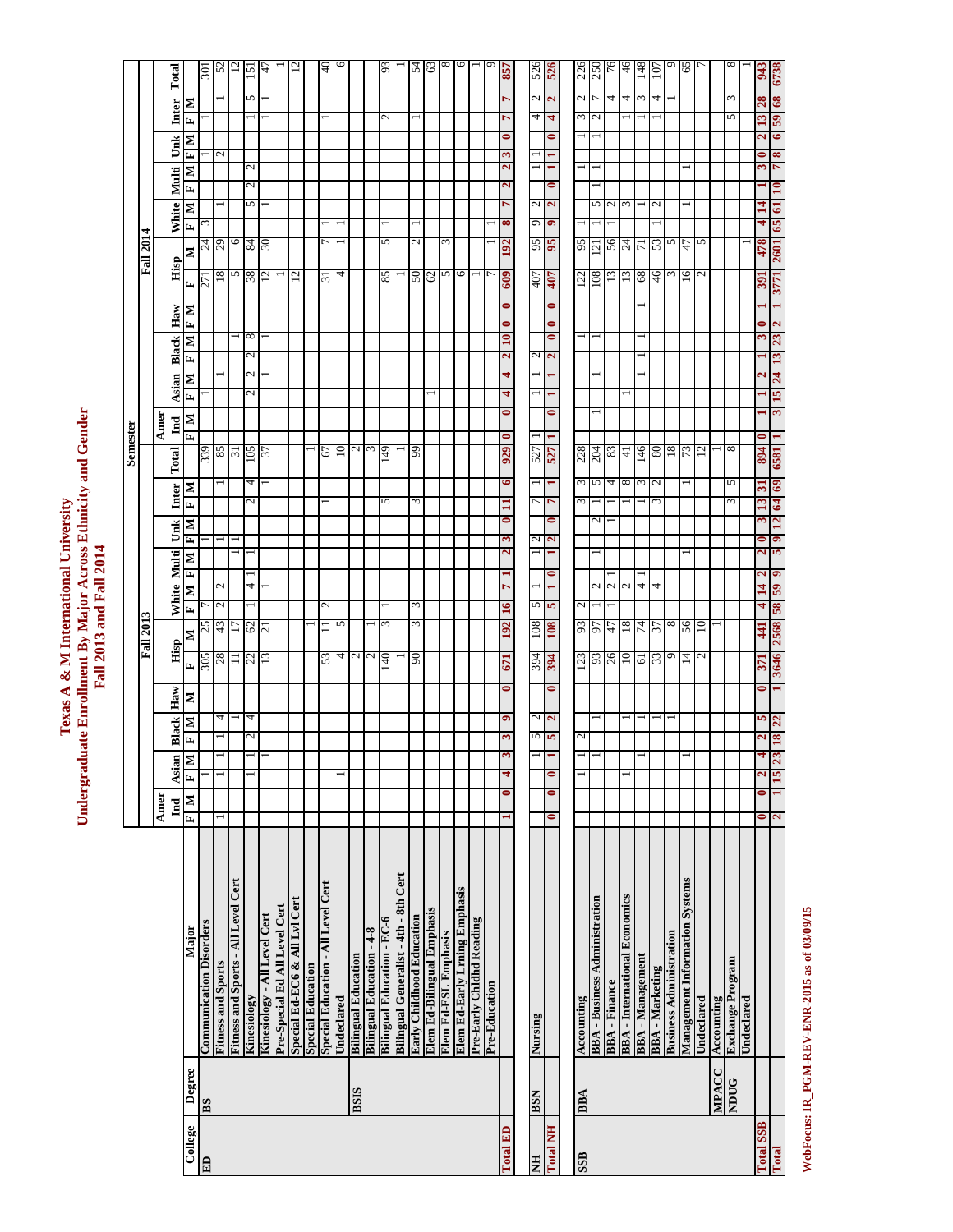| e Enrollment By Major Across Ethnicity and Ger<br>Texas A & M International Universit<br>Fall 2013 and Fall 2014<br>adua |
|--------------------------------------------------------------------------------------------------------------------------|
|--------------------------------------------------------------------------------------------------------------------------|

**Semester**

**Semester** 

|                  |             |                                       |                             |           |                          |                |                 | <b>Fall 2013</b>                |                                     |                         |                           |                          |                               |                |                      |                                    |           | <b>Fall 2014</b>    |                 |                   |                |                                      |                         |               |
|------------------|-------------|---------------------------------------|-----------------------------|-----------|--------------------------|----------------|-----------------|---------------------------------|-------------------------------------|-------------------------|---------------------------|--------------------------|-------------------------------|----------------|----------------------|------------------------------------|-----------|---------------------|-----------------|-------------------|----------------|--------------------------------------|-------------------------|---------------|
|                  |             |                                       | <b>Amer</b><br>$\mathbf{I}$ | Asian     | <b>Black</b>             | Haw            | Hisp            |                                 | White                               | Multi                   | Unk                       | Inter                    | Amer<br>$\mathbf{I}$<br>Total | Asian          |                      | <b>Black</b>                       | Haw       | Hisp                | White           | Multi             | Unk            | Inter                                | Total                   |               |
| College          | Degree      | Major                                 | Þ<br>E                      | Σ<br>F    | $\bar{\mathbf{r}}$       | N<br>Z         | Ŀ,              | $\mathbf{r}$<br>$\geq$          | $\mathbf{F}$<br>$\mathbf{N}$        | $\mathbb{Z}$            | $\mathbf{r}$<br>N         | Z                        | Z                             | Ł              | E<br>Z               | N                                  | E<br>ML   | N                   |                 | $\mathbf{r}$<br>N | Е<br>N         | м                                    | k                       |               |
| E                | BS          | <b>Communication Disorders</b>        |                             |           |                          |                | 305             | 57                              |                                     |                         |                           |                          | 339                           |                |                      |                                    |           | 271                 | $\frac{24}{29}$ |                   |                |                                      |                         | 108           |
|                  |             | <b>Fitness and Sports</b>             |                             |           |                          | 4              | 28              | N<br>43                         | N                                   |                         |                           |                          | 85                            |                |                      |                                    |           | $\frac{8}{2}$       |                 |                   | $\overline{c}$ |                                      |                         | 52            |
|                  |             | Fitness and Sports - All Level Cert   |                             |           |                          |                | ニ               |                                 |                                     |                         |                           |                          | ಸ                             |                |                      |                                    |           | 5                   | $\circ$         |                   |                |                                      |                         |               |
|                  |             | Kinesiology                           |                             |           | $\mathcal{L}$            | 4              | 22              | 62                              | 4                                   |                         |                           | 4<br>2                   | 105                           | $\mathcal{L}$  | 2                    | $^{\circ}$                         |           | 38                  | $rac{84}{30}$   | 2<br>5            | 2              |                                      | 5                       | 151           |
|                  |             | Kinesiology - All Level Cert          |                             |           |                          |                | 13              | $\overline{c}$                  |                                     |                         |                           |                          | 57                            |                |                      |                                    |           | 2                   |                 |                   |                |                                      |                         | A             |
|                  |             | Pre-Special Ed All Level Cert         |                             |           |                          |                |                 |                                 |                                     |                         |                           |                          |                               |                |                      |                                    |           |                     |                 |                   |                |                                      |                         |               |
|                  |             | Special Ed-EC6 & All Lvl Cert         |                             |           |                          |                |                 |                                 |                                     |                         |                           |                          |                               |                |                      |                                    |           | $\overline{c}$      |                 |                   |                |                                      |                         |               |
|                  |             | <b>Special Education</b>              |                             |           |                          |                |                 |                                 |                                     |                         |                           |                          |                               |                |                      |                                    |           |                     |                 |                   |                |                                      |                         |               |
|                  |             | Special Education - All Level Cert    |                             |           |                          |                | 53              |                                 |                                     |                         |                           |                          | 67                            |                |                      |                                    |           | $\overline{31}$     |                 |                   |                |                                      |                         | $\frac{4}{0}$ |
|                  |             | Undeclared                            |                             |           |                          |                | 4               | 5                               |                                     |                         |                           |                          | $\overline{10}$               |                |                      |                                    |           | 4                   |                 |                   |                |                                      |                         | ٥             |
|                  | <b>SISH</b> | <b>Bilingual Education</b>            |                             |           |                          |                | $\sim$          |                                 |                                     |                         |                           |                          |                               |                |                      |                                    |           |                     |                 |                   |                |                                      |                         |               |
|                  |             | <b>Bilingual Education - 4-8</b>      |                             |           |                          |                | $\mathbf{c}$    |                                 |                                     |                         |                           |                          | $\epsilon$                    |                |                      |                                    |           |                     |                 |                   |                |                                      |                         |               |
|                  |             | <b>Bilingual Education - EC-6</b>     |                             |           |                          |                | 140             | Σ                               |                                     |                         |                           | 5                        | 149                           |                |                      |                                    |           | 85                  | 5               |                   |                | $\mathcal{L}$                        |                         | 93            |
|                  |             | Bilingual Generalist - 4th - 8th Cert |                             |           |                          |                |                 |                                 |                                     |                         |                           |                          |                               |                |                      |                                    |           |                     |                 |                   |                |                                      |                         |               |
|                  |             | Early Childhood Education             |                             |           |                          |                | 06              |                                 |                                     |                         |                           | 3                        | 99                            |                |                      |                                    |           | 05                  |                 |                   |                |                                      |                         | 54            |
|                  |             | Elem Ed-Bilingual Emphasis            |                             |           |                          |                |                 |                                 |                                     |                         |                           |                          |                               |                |                      |                                    |           | 62                  |                 |                   |                |                                      |                         | 63            |
|                  |             | Elem Ed-ESL Emphasis                  |                             |           |                          |                |                 |                                 |                                     |                         |                           |                          |                               |                |                      |                                    |           | 5                   | ω               |                   |                |                                      |                         | 8             |
|                  |             | Elem Ed-Early Lrning Emphasis         |                             |           |                          |                |                 |                                 |                                     |                         |                           |                          |                               |                |                      |                                    |           | $\circ$             |                 |                   |                |                                      |                         | ७             |
|                  |             | Pre-Early Chidhd Reading              |                             |           |                          |                |                 |                                 |                                     |                         |                           |                          |                               |                |                      |                                    |           |                     |                 |                   |                |                                      |                         |               |
|                  |             | Pre-Education                         |                             |           |                          |                |                 |                                 |                                     |                         |                           |                          |                               |                |                      |                                    |           |                     |                 |                   |                |                                      |                         |               |
| Total ED         |             |                                       | $\bullet$                   | 4         | 3                        | $\bullet$<br>۰ | 671             | 16<br>192                       | r                                   | ω<br>2                  | $\mathbf{H}$<br>$\bullet$ | $\bullet$                | $\bullet$<br>929              | 4<br>$\bullet$ | 2<br>4               | $\bullet$<br>10                    | $\bullet$ | 192<br>609          | 8               | 2<br>r            | 3<br>2         | r<br>$\bullet$                       | 7                       | 857           |
|                  |             |                                       |                             |           |                          |                |                 |                                 |                                     |                         |                           |                          |                               |                |                      |                                    |           |                     |                 |                   |                |                                      |                         |               |
| E                | <b>NS8</b>  | Nursing                               |                             |           | 5                        | 2              | 394             | 5<br>801                        |                                     | Z                       |                           |                          | 527                           |                | $\mathbf 2$          |                                    |           | 407                 | 9<br>95         | 2                 |                | 4                                    | 2                       | 526           |
| <b>Total NH</b>  |             |                                       | $\bullet$<br>$\bullet$      | 0         | Ю                        | $\bullet$      | <b>794</b>      | S<br>108                        |                                     | $\mathbf{\tilde{c}}$    |                           | r                        | <b>ES27</b>                   |                | $\mathbf{z}$         | $\bullet$<br>$\bullet$             |           | 407                 | ۰<br>56         | 0<br>$\mathbf{a}$ |                | 4<br>$\bullet$                       | $\overline{\mathbf{c}}$ | 526           |
|                  |             |                                       |                             |           |                          |                |                 |                                 |                                     |                         |                           |                          |                               |                |                      |                                    |           |                     |                 |                   |                |                                      |                         |               |
| <b>SSB</b>       | BBA         | Accounting                            |                             |           | $\overline{\mathcal{C}}$ |                | $\epsilon$      | $\mathbf{c}$<br>93              |                                     |                         |                           | $\epsilon$<br>$\epsilon$ | 228                           |                |                      |                                    |           | 22                  | 56              |                   |                | 3                                    | 2                       | 226<br>250    |
|                  |             | <b>BBA - Business Administration</b>  |                             |           |                          |                | 93              | 57                              | N                                   |                         | N                         | 5                        | <b>204</b>                    |                |                      |                                    |           | 801                 | $\overline{21}$ | 5                 |                | S                                    |                         |               |
|                  |             | <b>BBA-Finance</b>                    |                             |           |                          |                | 26              | 47                              | 2                                   |                         |                           | 4                        | 83                            |                |                      |                                    |           | 13                  | 56              |                   |                |                                      | 4                       | 76            |
|                  |             | <b>BBA</b> - International Economics  |                             |           |                          |                | $\overline{10}$ | 18                              | 2                                   |                         |                           | 8                        | $\pm$                         |                |                      |                                    |           | $\overline{13}$     | $^{24}$         |                   |                |                                      | 4                       | 46            |
|                  |             | <b>BBA</b> - Management               |                             |           |                          |                | $\frac{61}{33}$ | 74                              | 4                                   |                         |                           | 3                        | 146                           |                |                      |                                    |           | 89                  |                 |                   |                |                                      | $\epsilon$              | 148           |
|                  |             | <b>BBA-Marketing</b>                  |                             |           |                          |                |                 | 57                              | 4                                   |                         |                           | N<br>m                   | 80                            |                |                      |                                    |           | 46                  | 53              |                   |                |                                      | 4                       | 107           |
|                  |             | <b>Business Administration</b>        |                             |           |                          |                | $\circ$         | $\infty$                        |                                     |                         |                           |                          | 81                            |                |                      |                                    |           | E                   | 5               |                   |                |                                      |                         |               |
|                  |             | Management Information Systems        |                             |           |                          |                | 14              | 99                              |                                     |                         |                           |                          | 73                            |                |                      |                                    |           | 16                  | 47              |                   |                |                                      |                         | 65            |
|                  |             | Undeclared                            |                             |           |                          |                |                 | $\Xi$                           |                                     |                         |                           |                          | 5                             |                |                      |                                    |           |                     | 5               |                   |                |                                      |                         |               |
|                  | MPACC       | Accounting                            |                             |           |                          |                |                 |                                 |                                     |                         |                           |                          |                               |                |                      |                                    |           |                     |                 |                   |                |                                      |                         |               |
|                  | <b>NDUG</b> | <b>Exchange Program</b>               |                             |           |                          |                |                 |                                 |                                     |                         |                           | 5<br>ω                   | ${}^{\circ}$                  |                |                      |                                    |           |                     |                 |                   |                | 5                                    | 3                       | ∞             |
|                  |             | Undeclared                            |                             |           |                          |                |                 |                                 |                                     |                         |                           |                          |                               |                |                      |                                    |           |                     |                 |                   |                |                                      |                         |               |
| <b>Total SSB</b> |             |                                       | $\bullet$<br>,              | 2         |                          | 0<br>5         | 371             | 4<br>$\frac{41}{3}$             | $\overline{\mathbf{c}}$<br>14<br>59 | $\overline{\mathbf{c}}$ | 13                        | $\mathbf{a}$             | <b>E859</b><br><b>F68</b>     |                |                      |                                    |           | 478<br>391          | 4               | $\vec{a}$         |                | $\mathbf{E}$<br>$\mathbf{\tilde{z}}$ | 28                      | 943           |
| Total            |             |                                       | ⊣<br>2                      | 23<br>ST. | 18                       | 22             | 3646            | $\overline{\mathbf{S}}$<br>2568 | ۰                                   | 5                       | $\mathbf{g}$<br>2         | 69                       |                               | 15<br>3        | 13<br>$\overline{a}$ | $\mathbf{\hat{c}}$<br>$\mathbf{z}$ |           | <b>1097</b><br>3771 | 65              | ಠ                 | ∞              | 65<br>6                              | 6738<br>68              |               |

WebFocus: IR\_PGM-REV-ENR-2015 as of 03/09/15 **WebFocus: IR\_PGM-REV-ENR-2015 as of 03/09/15**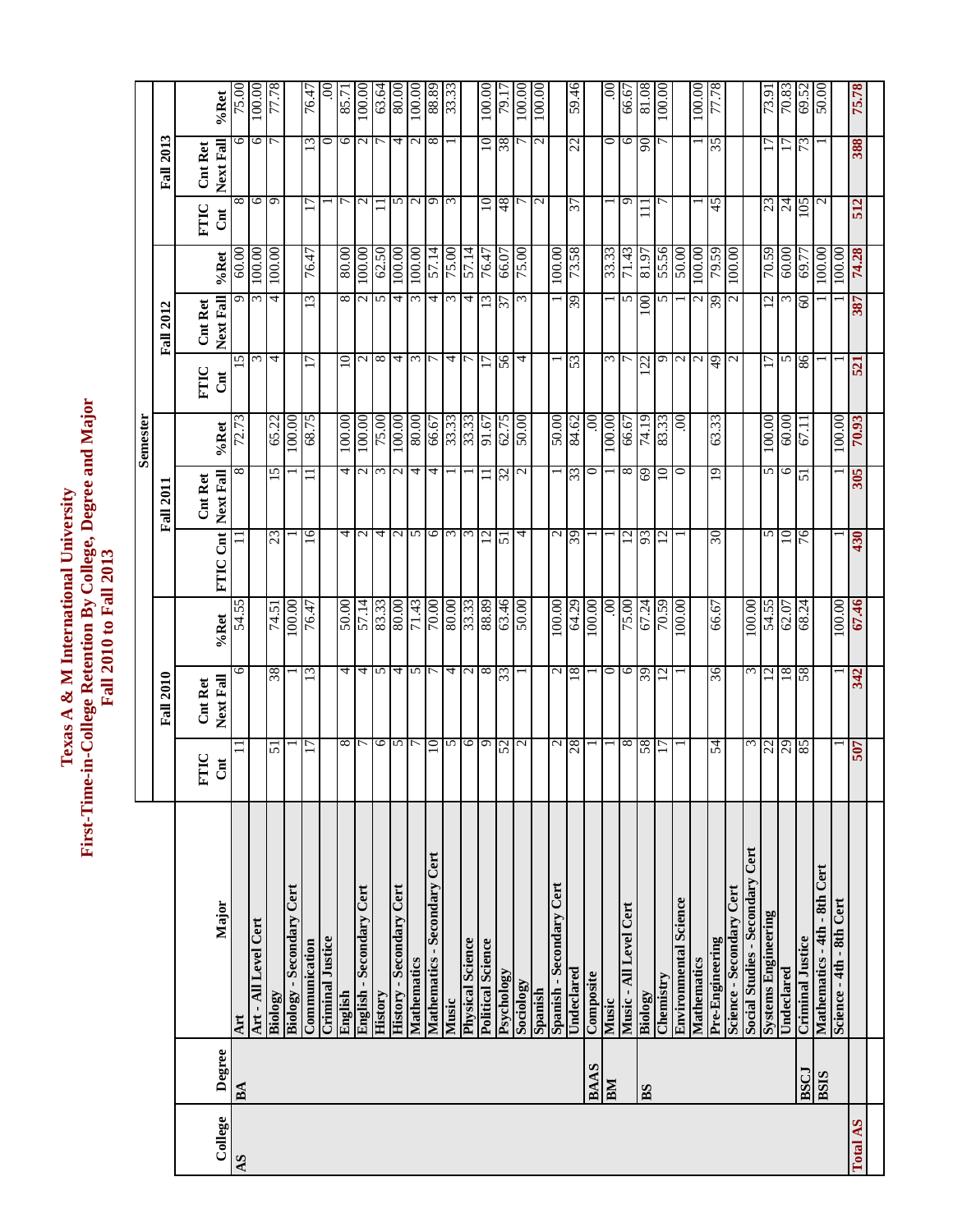# Texas A & M International University<br>First-Time-in-College Retention By College, Degree and Major<br>Fall 2010 to Fall 2013 **First-Time-in-College Retention By College, Degree and Major Texas A & M International University Fall 2010 to Fall 2013**

|                                        |                 | <b>Fall 2010</b> |                     |                   | <b>Fall 2011</b>  | Semester     |                 | <b>Fall 2012</b> |          |                          | <b>Fall 2013</b>  |        |
|----------------------------------------|-----------------|------------------|---------------------|-------------------|-------------------|--------------|-----------------|------------------|----------|--------------------------|-------------------|--------|
|                                        | FTIC            | <b>Cnt Ret</b>   |                     |                   | <b>Cnt Ret</b>    |              | FTIC            | <b>Cnt Ret</b>   |          | FTIC                     | <b>Cnt Ret</b>    |        |
| Major                                  | $\overline{c}$  | Next Fall        | %Ret                | FTIC Cnt          | Next Fall         | %Ret         | $\overline{c}$  | Next Fall        | $\%$ Ret | Cnt                      | Next Fall         | %Ret   |
| Art                                    |                 | $\circ$          | 54.55               |                   | ∞                 | 72.73        | 15              | ᡡ                | 60.00    | ${}^{\circ}$             | ∘                 | 75.00  |
| Art - All Level Cert                   |                 |                  |                     |                   |                   |              | $\epsilon$      | $\epsilon$       | 100.00   | $\circ$                  | ७                 | 100.00 |
| Biology                                | 51              | 38               | 74.51               | 23                | 15                | 65.22        | 4               | 4                | 100.00   | $\sigma$                 |                   | 77.78  |
| Biology - Secondary Cert               |                 |                  | 100.00              |                   |                   | 100.00       |                 |                  |          |                          |                   |        |
| Communication                          |                 | $\epsilon$       | 76.47               | $\overline{16}$   |                   | <b>SL'89</b> | 17              | $\omega$         | 76.47    |                          | $\omega$          | 76.47  |
| <b>Criminal Justice</b>                |                 |                  |                     |                   |                   |              |                 |                  |          |                          | 0                 | S      |
| English                                | ${}^{\circ}$    | 4                | 50.00               | 4                 | 4                 | 100.00       | $10 \,$         | $^{\circ}$       | 80.00    |                          | $\circ$           | 85.71  |
| English - Secondary Cert               |                 | 4                | 57.14               | $\mathcal{L}$     | $\sim$            | 100.00       | $\sim$          |                  | 00.001   | $\mathbf{C}$             | $\mathcal{L}$     | 100.00 |
| <b>History</b>                         | $\circ$         | $\sim$           | 83.33               | 4                 | $\epsilon$        | 00'\$2       | $\infty$        | 5                | 62.50    |                          |                   | 63.64  |
| <b>History - Secondary Cert</b>        | S               | 4                | 80.00               | $\mathbf{c}$      | $\mathbf{\Omega}$ | 100.00       | 4               | 4                | 100.00   | 5                        | 4                 | 80.00  |
| Mathematics                            |                 | $\frac{1}{2}$    | $\overline{71.43}$  | S                 | 4                 | 80.08        | $\epsilon$      | $\omega$         | 100.00   | $\mathcal{L}$            | $\mathbf{\Omega}$ | 100.00 |
| Mathematics - Secondary Cert           | $\overline{10}$ |                  | 70.00               | 9                 | 4                 | 66.67        |                 | 4                | 57.14    | G                        | $\infty$          | 88.89  |
| Music                                  | 5               | 4                | 80.00               | $\epsilon$        |                   | 33.33        | 4               | $\omega$         | 75.00    | $\omega$                 |                   | 33.33  |
| <b>Physical Science</b>                | $\circ$         | $\sim$ $\infty$  | 33.33               | $\omega$          |                   | 33.33        |                 | 4                | 57.14    |                          |                   |        |
| <b>Political Science</b>               | $\sigma$        |                  | 88.89               | 12                | $\equiv$          | 91.67        | $\overline{17}$ | 13               | 76.47    | $10 \,$                  | $\Xi$             | 100.00 |
| Psychology                             | 52              | 55               | 63.46               | 51                | 32                | 62.75        | 56              | 57               | 66.07    | 48                       | 38                | 79.17  |
| Sociology                              | $\mathbf{C}$    |                  | 00:05               | 4                 | $\mathcal{L}$     | 50.00        | 4               |                  | 75.00    |                          |                   | 100.00 |
| Spanish                                |                 |                  |                     |                   |                   |              |                 |                  |          | $\mathbf{C}$             | $\mathcal{L}$     | 100.00 |
| Spanish - Secondary Cert               | $\mathcal{L}$   | $\mathbf{c}$     | 100.00              | $\mathbf{\Omega}$ |                   | 00:05        |                 |                  | 100.00   |                          |                   |        |
| Undeclared                             | 87              | 81               | 64.29               | 63                | $\epsilon$        | 84.62        | 33              | 63               | 85'82    | 25                       | 22                | 59.46  |
| Composite                              |                 |                  | 00.001              |                   | 0                 | 80.          |                 |                  |          |                          |                   |        |
| Music                                  |                 | $\circ$          | .00.                |                   |                   | 00.001       | $\epsilon$      |                  | 33.33    |                          | 0                 | S      |
| Music - All Level Cert                 | $^{\circ}$      | $\circ$          | 75.00               | $\overline{c}$    | $^{\circ}$        | 66.67        | $\overline{ }$  | n                | 71.43    | Ō                        | 0                 | 66.67  |
| Biology                                | 58              | 63               | 67.24               | 93                | 69                | 74.19        | 22              | 100              | 81.97    |                          | 66                | 80.18  |
| Chemistry                              |                 | $\overline{c}$   | 65.04               | $\overline{c}$    | $\overline{10}$   | 83.33        | G               | 5                | 55.56    |                          |                   | 100.00 |
| <b>Environmental Science</b>           |                 |                  | 100.00              |                   | $\circ$           | 00           | $\sim$          |                  | 50.00    |                          |                   |        |
| Mathematics                            |                 |                  |                     |                   |                   |              | $\mathbf{c}$    |                  | 100.00   |                          |                   | 100.00 |
| Pre-Engineering                        | 24              | 36               | 66.67               | $\Im$             | 19                | 63.33        | 49              | 39               | 65.64    | 45                       | 35                | 77.78  |
| Science - Secondary Cert               |                 |                  |                     |                   |                   |              | N               |                  | 100.00   |                          |                   |        |
| <b>Social Studies - Secondary Cert</b> | ς               | $\epsilon$       | 100.00              |                   |                   |              |                 |                  |          |                          |                   |        |
| <b>Systems Engineering</b>             |                 | $\overline{c}$   | 54.55               | 5                 | 5                 | 100.00       | Ξ               | 12               | 70.59    | 23                       |                   | 73.91  |
| Undeclared                             | $\frac{22}{85}$ | 18               | 62.07               | 10                | 6                 | 60.00        | 5               | ω                | 60.00    | $\overline{\mathcal{L}}$ | $\Box$            | 70.83  |
| <b>Criminal Justice</b>                |                 | 58               | 68.24               | 76                | 51                | 67.11        | 86              | 8                | 69.7     | 105                      | 73                | 69.52  |
| Mathematics - 4th - 8th Cert           |                 |                  |                     |                   |                   |              |                 |                  | 100.00   | N                        |                   | 50.00  |
| Science - 4th - 8th Cert               |                 |                  | $\frac{1}{100}$ .00 |                   |                   | 100.00       |                 |                  | 100.00   |                          |                   |        |
|                                        | <b>207</b>      | 342              | 67.46               | 430               | 305               | 70.93        | 521             | 387              | 74.28    | 512                      | 388               | 75.78  |
|                                        |                 |                  |                     |                   |                   |              |                 |                  |          |                          |                   |        |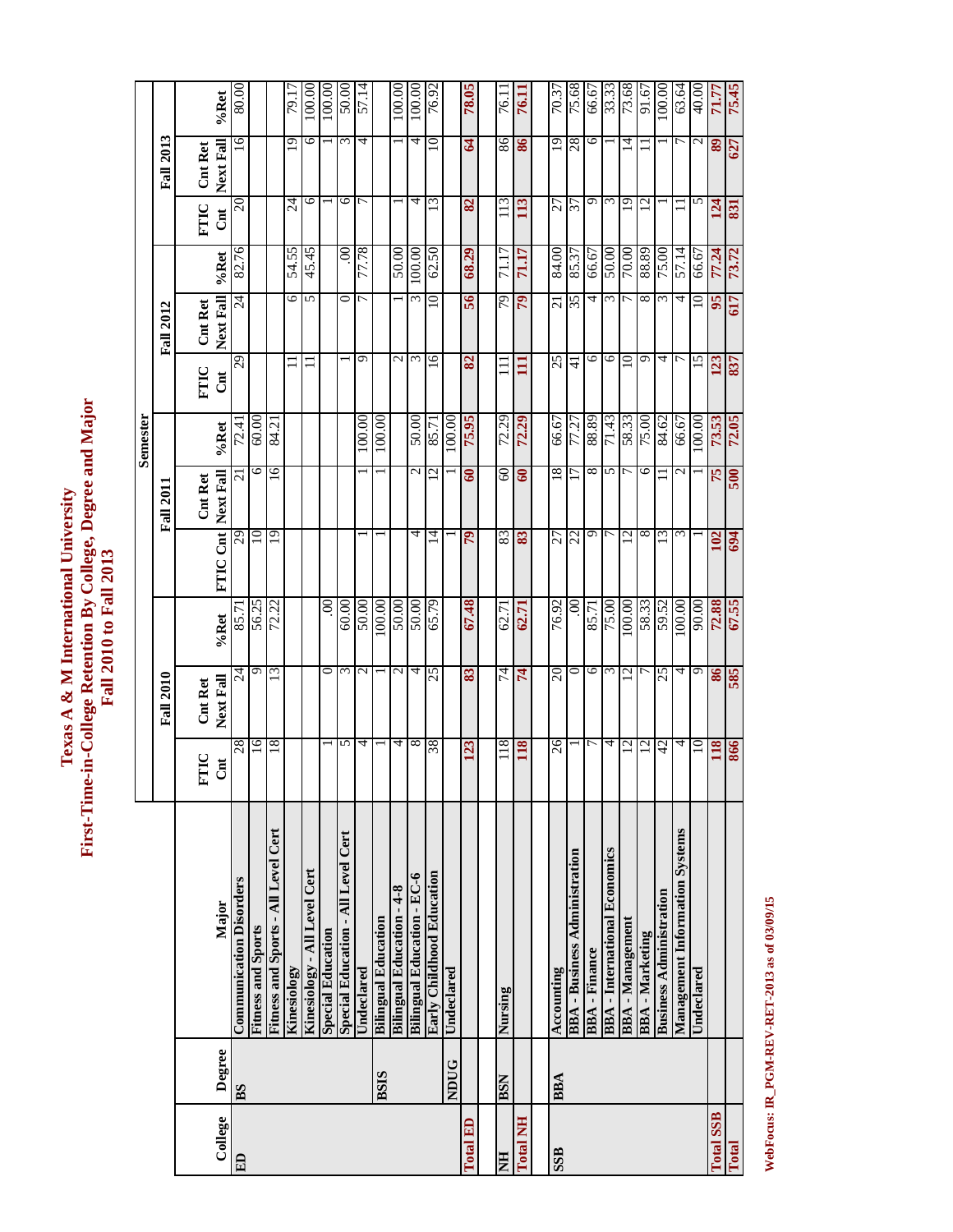Texas A & M International University<br>First-Time-in-College Retention By College, Degree and Major<br>Fall 2010 to Fall 2013 **First-Time-in-College Retention By College, Degree and Major Texas A & M International University Fall 2010 to Fall 2013**

|                  |                |                                       |                 |                  |         |                 |                  | Semester |                |                  |        |                |                  |        |
|------------------|----------------|---------------------------------------|-----------------|------------------|---------|-----------------|------------------|----------|----------------|------------------|--------|----------------|------------------|--------|
|                  |                |                                       |                 | <b>Fall 2010</b> |         |                 | <b>Fall 2011</b> |          |                | <b>Fall 2012</b> |        |                | <b>Fall 2013</b> |        |
|                  |                |                                       | FTIC            | Cnt Ret          |         |                 | Cnt Ret          |          | FTIC           | Cnt Ret          |        | FTIC           | <b>Cnt Ret</b>   |        |
| College          | Degree         | Major                                 | Cnt             | Next Fall        | %Ret    | FTIC Cnt        | Next Fall        | %Ret     | Cnt            | Next Fall        | %Ret   | <b>Jul</b>     | Next Fall        | %Ret   |
| ED               | B <sub>S</sub> | <b>Communication Disorders</b>        | 28              | $\overline{c}$   | 85.7    | 29              | $\sim$           | 72.4     | 29             | $\overline{c}$   | 82.76  | 20             | 16               | 80.00  |
|                  |                | <b>Fitness and Sports</b>             | $\overline{16}$ | O                | 56.25   | $\Xi$           | 6                | 60.00    |                |                  |        |                |                  |        |
|                  |                | Fitness and Sports - All Level Cert   | 18              | $\overline{13}$  | 72.22   | 19              | $\overline{16}$  | 84.21    |                |                  |        |                |                  |        |
|                  |                | Kinesiology                           |                 |                  |         |                 |                  |          |                | 6                | 54.55  | $\overline{z}$ | 19               | 79.1   |
|                  |                | Kinesiology - All Level Cert          |                 |                  |         |                 |                  |          |                | 5                | 45.45  | ७              | 6                | 100.00 |
|                  |                | <b>Special Education</b>              |                 | ⊂                | $.00\,$ |                 |                  |          |                |                  |        |                |                  | 100.00 |
|                  |                | Special Education - All Level Cert    | 5               | ω                | 60.00   |                 |                  |          |                | 0                | 8      | 9              | ω                | 50.00  |
|                  |                | Undeclared                            | 4               | $\mathcal{L}$    | 50.00   |                 |                  | 100.00   | ᡡ              |                  | 77.78  |                | 4                | 57.14  |
|                  | <b>BSIS</b>    | <b>Bilingual Education</b>            |                 |                  | 100.00  |                 |                  | 100.00   |                |                  |        |                |                  |        |
|                  |                | <b>Bilingual Education - 4-8</b>      | 4               | N                | 50.00   |                 |                  |          | N              |                  | 50.00  |                |                  | 100.00 |
|                  |                | <b>Bilingual Education - EC-6</b>     | $\infty$        | 4                | 50.00   | 4               | 2                | 50.00    | $\epsilon$     | ξ                | 100.00 | 4              | 4                | 100.00 |
|                  |                | Early Childhood Education             | 38              | 25               | 65.79   | 4               | $\bar{\omega}$   | 85.71    | $\overline{6}$ |                  | 62.50  | W              | $\supseteq$      | 76.92  |
|                  | <b>NDUG</b>    | Undeclared                            |                 |                  |         |                 |                  | 100.00   |                |                  |        |                |                  |        |
| <b>Total ED</b>  |                |                                       | 123             | 83               | 67.48   | $\mathcal{L}$   | $\mathbf{S}$     | 75.95    | 82             | 56               | 68.29  | 82             | $\mathbf{A}$     | 78.05  |
|                  |                |                                       |                 |                  |         |                 |                  |          |                |                  |        |                |                  |        |
| E                | <b>NSH</b>     | Nursing                               | 118             | 74               | 62.71   | 83              | 8                | 72.29    | Ξ              | 79               | 71.17  | 113            | 86               | 76.1   |
| <b>Total NH</b>  |                |                                       | 118             | 74               | 62.71   | 83              | ತಿ               | 72.29    | 目              | $\mathfrak{p}$   | 71.17  | 113            | 86               | 76.11  |
|                  |                |                                       |                 |                  |         |                 |                  |          |                |                  |        |                |                  |        |
| <b>SSB</b>       | <b>BBA</b>     | Accounting                            | 26              | 20               | 76.92   | 27              | 18               | 66.67    | 25             | $\overline{c}$   | 84.00  | 27             | 19               | 70.37  |
|                  |                | - Business Administration<br>BBA      |                 | っ                | S       | 72              |                  | 77.27    | $\frac{1}{4}$  | 35               | 85.37  | 37             | 28               | 75.68  |
|                  |                | <b>BBA-Finance</b>                    |                 | 6                | 85.71   | Ō               | 8                | 88.89    | ∘              | 4                | 66.67  | Ō              | ∘                | 66.67  |
|                  |                | <b>BBA</b> - International Economics  | 4               | 3                | 75.00   | ┌               | 5                | 71.43    | $\circ$        | 3                | 50.00  | $\epsilon$     |                  | 33.33  |
|                  |                | <b>BBA</b> - Management               | 12              | $\overline{2}$   | 00.00   | $\overline{12}$ | 7                | 58.33    | 10             |                  | 00:04  | 19             | $\vec{r}$        | 73.68  |
|                  |                | <b>BBA-Marketing</b>                  | $\overline{c}$  |                  | 58.33   | ∞               | 6                | 00'\$2   | Ō              | 8                | 68.88  | $\overline{c}$ |                  | 91.67  |
|                  |                | <b>Business Administration</b>        | 42              | 25               | 59.52   | ξ               |                  | 84.62    | 4              | $\epsilon$       | 75.00  |                |                  | 100.00 |
|                  |                | <b>Management Information Systems</b> | 4               | 4                | 00.001  | ω               | N                | 66.67    |                | 4                | 57.14  |                |                  | 63.64  |
|                  |                | Undeclared                            | 10              | ഐ                | 90.00   |                 |                  | 100.00   | 15             | ≘                | 66.67  | 5              | 2                | 40.00  |
| <b>Total SSB</b> |                |                                       | 118             | 86               | 72.88   | 102             | 75               | 73.53    | 123            | 95               | 77.24  | 124            | 89               | 71.77  |
| Total            |                |                                       | 866             | <b>S85</b>       | 67.55   | 694             | 500              | 72.05    | 837            | 617              | 73.72  | 831            | 627              | 75.45  |

WebFocus: IR\_PGM-REV-RET-2013 as of 03/09/15 **WebFocus: IR\_PGM-REV-RET-2013 as of 03/09/15**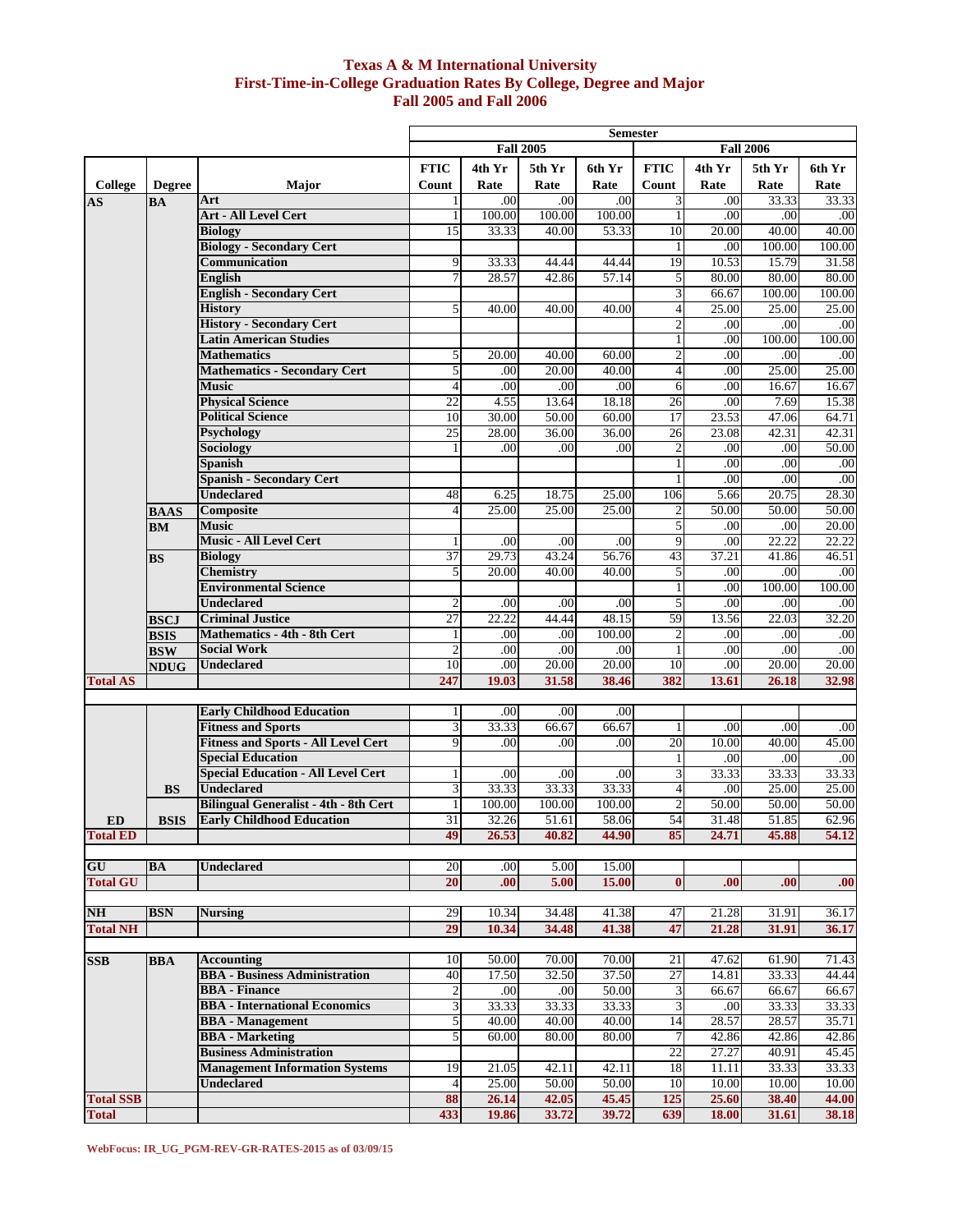### **Texas A & M International University First-Time-in-College Graduation Rates By College, Degree and Major Fall 2005 and Fall 2006**

|                        |               |                                                   | <b>Semester</b>                      |          |        |        |                 |                    |                 |                    |
|------------------------|---------------|---------------------------------------------------|--------------------------------------|----------|--------|--------|-----------------|--------------------|-----------------|--------------------|
|                        |               |                                                   | <b>Fall 2005</b><br><b>Fall 2006</b> |          |        |        |                 |                    |                 |                    |
|                        |               |                                                   | <b>FTIC</b>                          | 4th Yr   | 5th Yr | 6th Yr | <b>FTIC</b>     | 4th Yr             | 5th Yr          | 6th Yr             |
| College                | <b>Degree</b> | <b>Major</b>                                      | Count                                | Rate     | Rate   | Rate   | Count           | Rate               | Rate            | Rate               |
|                        |               | Art                                               |                                      | .00      | .00    | .00    | 3               | .00                | 33.33           | 33.33              |
| $\mathbf{A}\mathbf{S}$ | <b>BA</b>     | <b>Art - All Level Cert</b>                       |                                      | 100.00   | 100.00 | 100.00 | 1               | .00                | .00             | .00                |
|                        |               |                                                   |                                      |          |        |        |                 | 20.00              | 40.00           | 40.00              |
|                        |               | <b>Biology</b><br><b>Biology - Secondary Cert</b> | 15                                   | 33.33    | 40.00  | 53.33  | 10              |                    |                 |                    |
|                        |               | Communication                                     | 9                                    |          | 44.44  | 44.44  | 19              | .00<br>10.53       | 100.00<br>15.79 | 100.00<br>31.58    |
|                        |               |                                                   |                                      | 33.33    |        |        |                 |                    |                 |                    |
|                        |               | <b>English</b>                                    |                                      | 28.57    | 42.86  | 57.14  | 5               | 80.00              | 80.00           | 80.00              |
|                        |               | <b>English - Secondary Cert</b>                   |                                      |          |        |        | 3               | 66.67              | 100.00          | 100.00             |
|                        |               | <b>History</b>                                    | 5                                    | 40.00    | 40.00  | 40.00  | 4               | 25.00              | 25.00           | 25.00              |
|                        |               | <b>History - Secondary Cert</b>                   |                                      |          |        |        | $\overline{c}$  | .00                | .00             | .00                |
|                        |               | <b>Latin American Studies</b>                     |                                      |          |        |        | 1               | .00                | 100.00          | 100.00             |
|                        |               | <b>Mathematics</b>                                | 5                                    | 20.00    | 40.00  | 60.00  | $\overline{2}$  | .00                | .00             | .00                |
|                        |               | <b>Mathematics - Secondary Cert</b>               | 5                                    | .00      | 20.00  | 40.00  | $\overline{4}$  | .00                | 25.00           | 25.00              |
|                        |               | <b>Music</b>                                      |                                      | .00      | .00    | .00    | 6               | .00                | 16.67           | 16.67              |
|                        |               | <b>Physical Science</b>                           | $\overline{22}$                      | 4.55     | 13.64  | 18.18  | $\overline{26}$ | .00                | 7.69            | 15.38              |
|                        |               | <b>Political Science</b>                          | 10                                   | 30.00    | 50.00  | 60.00  | 17              | 23.53              | 47.06           | 64.71              |
|                        |               | <b>Psychology</b>                                 | 25                                   | 28.00    | 36.00  | 36.00  | 26              | 23.08              | 42.31           | 42.31              |
|                        |               | Sociology                                         |                                      | .00      | .00    | .00    | 2               | .00                | .00             | 50.00              |
|                        |               | Spanish                                           |                                      |          |        |        | 1               | .00                | .00             | .00                |
|                        |               | <b>Spanish - Secondary Cert</b>                   |                                      |          |        |        |                 | .00                | .00             | .00                |
|                        |               | <b>Undeclared</b>                                 | 48                                   | 6.25     | 18.75  | 25.00  | 106             | 5.66               | 20.75           | 28.30              |
|                        | <b>BAAS</b>   | Composite                                         | 4                                    | 25.00    | 25.00  | 25.00  | 2               | $\overline{50.00}$ | 50.00           | $\overline{50.00}$ |
|                        | <b>BM</b>     | <b>Music</b>                                      |                                      |          |        |        | 5               | .00                | .00             | 20.00              |
|                        |               | <b>Music - All Level Cert</b>                     |                                      | .00      | .00    | .00.   | 9               | .00                | 22.22           | 22.22              |
|                        | <b>BS</b>     | <b>Biology</b>                                    | 37                                   | 29.73    | 43.24  | 56.76  | 43              | 37.21              | 41.86           | 46.51              |
|                        |               | <b>Chemistry</b>                                  | 5                                    | 20.00    | 40.00  | 40.00  | 5               | .00                | .00             | .00                |
|                        |               | <b>Environmental Science</b>                      |                                      |          |        |        |                 | .00                | 100.00          | 100.00             |
|                        |               | <b>Undeclared</b>                                 |                                      | .00      | .00    | .00    | 5               | .00                | .00             | .00                |
|                        | <b>BSCJ</b>   | <b>Criminal Justice</b>                           | 27                                   | 22.22    | 44.44  | 48.15  | 59              | 13.56              | 22.03           | 32.20              |
|                        | <b>BSIS</b>   | <b>Mathematics - 4th - 8th Cert</b>               |                                      | $_{.00}$ | .00    | 100.00 | 2               | $_{.00}$           | $_{.00}$        | .00                |
|                        | <b>BSW</b>    | <b>Social Work</b>                                |                                      | .00      | .00    | .00    | 1               | .00                | .00             | .00                |
|                        | <b>NDUG</b>   | <b>Undeclared</b>                                 | 10                                   | .00      | 20.00  | 20.00  | 10              | .00                | 20.00           | 20.00              |
| <b>Total AS</b>        |               |                                                   | 247                                  | 19.03    | 31.58  | 38.46  | 382             | 13.61              | 26.18           | 32.98              |
|                        |               |                                                   |                                      |          |        |        |                 |                    |                 |                    |
|                        |               | <b>Early Childhood Education</b>                  |                                      | .00      | .00    | .00    |                 |                    |                 |                    |
|                        |               | <b>Fitness and Sports</b>                         | 3                                    | 33.33    | 66.67  | 66.67  | 1               | .00                | .00             | .00                |
|                        |               | <b>Fitness and Sports - All Level Cert</b>        | 9                                    | .00      | .00    | .00    | 20              | 10.00              | 40.00           | 45.00              |
|                        |               | <b>Special Education</b>                          |                                      |          |        |        | 1               | .00                | .00             | .00                |
|                        |               | <b>Special Education - All Level Cert</b>         |                                      | $_{.00}$ | .00    | .00    | 3               | 33.33              | 33.33           | 33.33              |
|                        | <b>BS</b>     | <b>Undeclared</b>                                 |                                      | 33.33    | 33.33  | 33.33  | $\overline{4}$  | .00                | 25.00           | 25.00              |
|                        |               | <b>Bilingual Generalist - 4th - 8th Cert</b>      |                                      | 100.00   | 100.00 | 100.00 | $\overline{2}$  | 50.00              | 50.00           | 50.00              |
| <b>ED</b>              | <b>BSIS</b>   | <b>Early Childhood Education</b>                  | 31                                   | 32.26    | 51.61  | 58.06  | 54              | 31.48              | 51.85           | 62.96              |
| <b>Total ED</b>        |               |                                                   | 49                                   | 26.53    | 40.82  | 44.90  | 85              | 24.71              | 45.88           | 54.12              |
|                        |               |                                                   |                                      |          |        |        |                 |                    |                 |                    |
| GU                     | BA            | <b>Undeclared</b>                                 | 20                                   | $.00\,$  | 5.00   | 15.00  |                 |                    |                 |                    |
| <b>Total GU</b>        |               |                                                   | 20                                   | .00      | 5.00   | 15.00  | $\bf{0}$        | .00                | .00.            | .00                |
|                        |               |                                                   |                                      |          |        |        |                 |                    |                 |                    |
| N <sub>H</sub>         | <b>BSN</b>    | <b>Nursing</b>                                    | 29                                   | 10.34    | 34.48  | 41.38  | 47              | 21.28              | 31.91           | 36.17              |
| <b>Total NH</b>        |               |                                                   | 29                                   | 10.34    | 34.48  | 41.38  | 47              | 21.28              | 31.91           | 36.17              |
|                        |               |                                                   |                                      |          |        |        |                 |                    |                 |                    |
| <b>SSB</b>             | <b>BBA</b>    | <b>Accounting</b>                                 | 10                                   | 50.00    | 70.00  | 70.00  | 21              | 47.62              | 61.90           | 71.43              |
|                        |               | <b>BBA</b> - Business Administration              | 40                                   | 17.50    | 32.50  | 37.50  | $\overline{27}$ | 14.81              | 33.33           | 44.44              |
|                        |               | <b>BBA</b> - Finance                              | $\mathbf{2}$                         | .00      | .00    | 50.00  | 3               | 66.67              | 66.67           | 66.67              |
|                        |               | <b>BBA</b> - International Economics              | 3                                    | 33.33    | 33.33  | 33.33  | 3               | .00                | 33.33           | 33.33              |
|                        |               | <b>BBA</b> - Management                           | 5                                    | 40.00    | 40.00  | 40.00  | 14              | 28.57              | 28.57           | 35.71              |
|                        |               | <b>BBA</b> - Marketing                            | 5                                    | 60.00    | 80.00  | 80.00  | $\overline{7}$  | 42.86              | 42.86           | 42.86              |
|                        |               | <b>Business Administration</b>                    |                                      |          |        |        | 22              | 27.27              | 40.91           | 45.45              |
|                        |               | <b>Management Information Systems</b>             | 19                                   | 21.05    | 42.11  | 42.11  | 18              | 11.11              | 33.33           | 33.33              |
|                        |               | <b>Undeclared</b>                                 | $\overline{4}$                       | 25.00    | 50.00  | 50.00  | 10              | 10.00              | 10.00           | 10.00              |
| <b>Total SSB</b>       |               |                                                   | 88                                   | 26.14    | 42.05  | 45.45  | 125             | 25.60              | 38.40           | 44.00              |
| <b>Total</b>           |               |                                                   | 433                                  | 19.86    | 33.72  | 39.72  | 639             | 18.00              | 31.61           | 38.18              |
|                        |               |                                                   |                                      |          |        |        |                 |                    |                 |                    |

**WebFocus: IR\_UG\_PGM-REV-GR-RATES-2015 as of 03/09/15**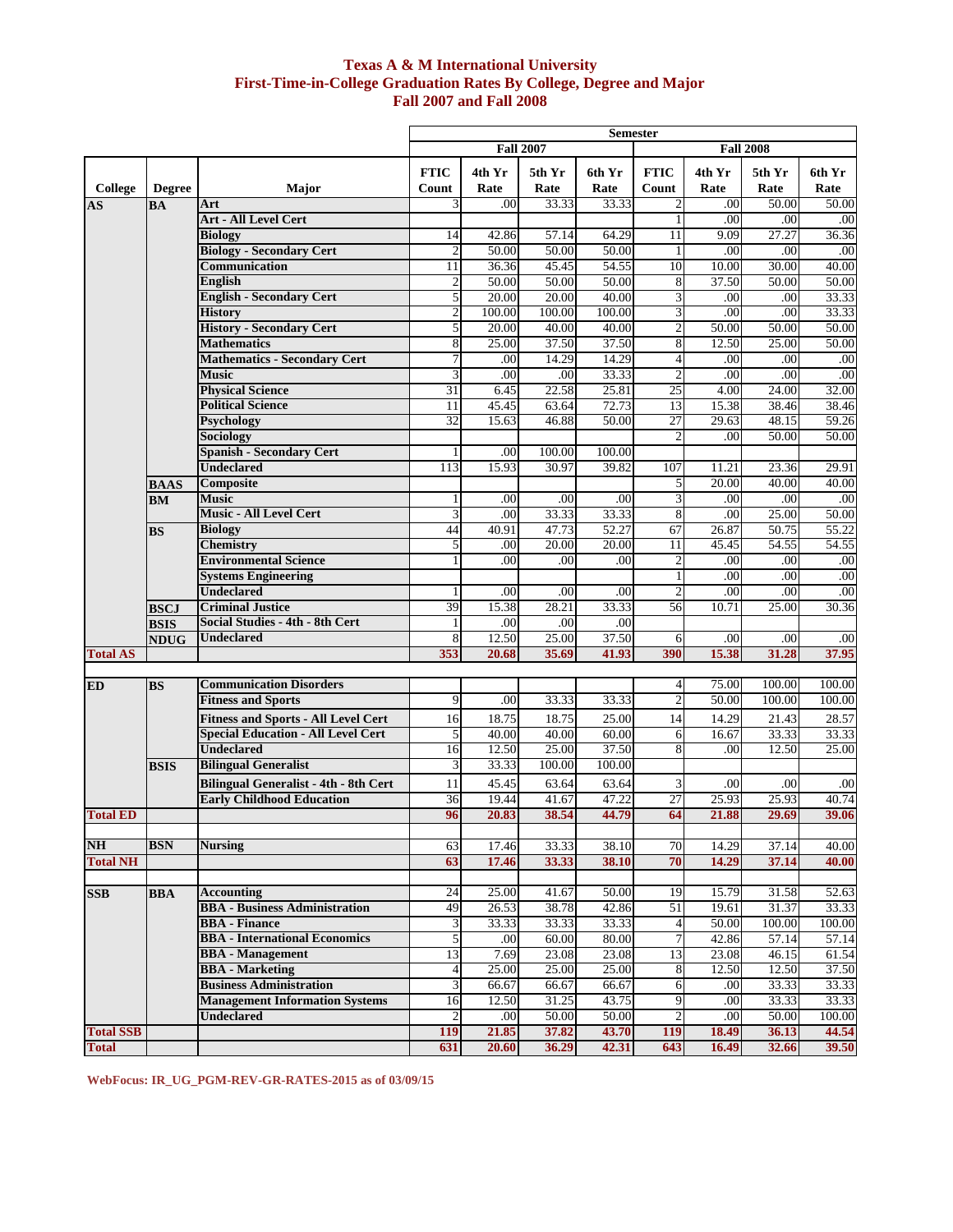### **Fall 2007 and Fall 2008 Texas A & M International University First-Time-in-College Graduation Rates By College, Degree and Major**

|                      |                            |                                                                                         | <b>Semester</b>                      |                 |                |                |                      |                   |                  |                   |
|----------------------|----------------------------|-----------------------------------------------------------------------------------------|--------------------------------------|-----------------|----------------|----------------|----------------------|-------------------|------------------|-------------------|
|                      |                            |                                                                                         | <b>Fall 2007</b><br><b>Fall 2008</b> |                 |                |                |                      |                   |                  |                   |
|                      |                            |                                                                                         | <b>FTIC</b>                          | 4th Yr<br>Rate  | 5th Yr<br>Rate | 6th Yr<br>Rate | <b>FTIC</b><br>Count | 4th Yr<br>Rate    | 5th Yr<br>Rate   | 6th Yr<br>Rate    |
| <b>College</b><br>AS | <b>Degree</b><br><b>BA</b> | Major<br>Art                                                                            | Count<br>3                           | .00             | 33.33          | 33.33          | 2                    | .00               | 50.00            | 50.00             |
|                      |                            | <b>Art - All Level Cert</b>                                                             |                                      |                 |                |                | $\mathbf{1}$         | .00               | .00              | .00               |
|                      |                            | <b>Biology</b>                                                                          | 14                                   | 42.86           | 57.14          | 64.29          | 11                   | 9.09              | 27.27            | 36.36             |
|                      |                            | <b>Biology - Secondary Cert</b>                                                         | $\overline{2}$                       | 50.00           | 50.00          | 50.00          | 1                    | .00               | .00              | .00               |
|                      |                            | Communication                                                                           | 11                                   | 36.36           | 45.45          | 54.55          | 10                   | 10.00             | 30.00            | 40.00             |
|                      |                            | <b>English</b>                                                                          | $\overline{2}$                       | 50.00           | 50.00          | 50.00          | 8                    | 37.50             | 50.00            | 50.00             |
|                      |                            | <b>English - Secondary Cert</b>                                                         | 5                                    | 20.00           | 20.00          | 40.00          | 3                    | .00               | $_{.00}$         | 33.33             |
|                      |                            | <b>History</b>                                                                          | $\overline{c}$                       | 100.00          | 100.00         | 100.00         | 3                    | .00               | .00              | 33.33             |
|                      |                            | <b>History - Secondary Cert</b>                                                         | 5                                    | 20.00           | 40.00          | 40.00          | $\overline{c}$       | 50.00             | 50.00            | 50.00             |
|                      |                            | <b>Mathematics</b>                                                                      | 8                                    | 25.00           | 37.50          | 37.50          | 8                    | 12.50             | 25.00            | 50.00             |
|                      |                            | <b>Mathematics - Secondary Cert</b>                                                     | 7                                    | $\overline{00}$ | 14.29          | 14.29          | 4                    | .00               | .00              | .00               |
|                      |                            | <b>Music</b>                                                                            | 3                                    | .00             | .00            | 33.33          | $\overline{c}$       | .00               | .00              | .00               |
|                      |                            | <b>Physical Science</b>                                                                 | 31                                   | 6.45            | 22.58          | 25.81          | 25                   | 4.00              | 24.00            | 32.00             |
|                      |                            | <b>Political Science</b>                                                                | 11<br>32                             | 45.45           | 63.64<br>46.88 | 72.73<br>50.00 | 13<br>27             | 15.38<br>29.63    | 38.46<br>48.15   | 38.46<br>59.26    |
|                      |                            | <b>Psychology</b><br>Sociology                                                          |                                      | 15.63           |                |                | $\overline{c}$       | .00               | 50.00            | 50.00             |
|                      |                            | <b>Spanish - Secondary Cert</b>                                                         |                                      | .00             | 100.00         | 100.00         |                      |                   |                  |                   |
|                      |                            | <b>Undeclared</b>                                                                       | 113                                  | 15.93           | 30.97          | 39.82          | 107                  | 11.21             | 23.36            | 29.91             |
|                      | <b>BAAS</b>                | Composite                                                                               |                                      |                 |                |                | 5                    | 20.00             | 40.00            | $\frac{40.00}{ }$ |
|                      | BM                         | Music                                                                                   |                                      | .00             | .00            | .00            | 3                    | .00               | .00              | .00               |
|                      |                            | <b>Music - All Level Cert</b>                                                           | 3                                    | .00             | 33.33          | 33.33          | 8                    | .00               | 25.00            | 50.00             |
|                      | <b>BS</b>                  | <b>Biology</b>                                                                          | 44                                   | 40.91           | 47.73          | 52.27          | 67                   | 26.87             | 50.75            | 55.22             |
|                      |                            | <b>Chemistry</b>                                                                        | 5                                    | .00             | 20.00          | 20.00          | 11                   | 45.45             | 54.55            | 54.55             |
|                      |                            | <b>Environmental Science</b>                                                            |                                      | .00             | .00            | .00            | 2                    | .00               | .00              | .00               |
|                      |                            | <b>Systems Engineering</b>                                                              |                                      |                 |                |                | 1                    | .00               | .00              | .00               |
|                      |                            | <b>Undeclared</b>                                                                       |                                      | $_{.00}$        | .00            | .00            | $\overline{c}$       | .00               | .00              | .00               |
|                      | <b>BSCJ</b>                | <b>Criminal Justice</b>                                                                 | 39                                   | 15.38           | 28.21          | 33.33          | 56                   | 10.71             | 25.00            | 30.36             |
|                      | <b>BSIS</b>                | Social Studies - 4th - 8th Cert                                                         |                                      | .00             | .00            | .00            |                      |                   |                  |                   |
|                      | <b>NDUG</b>                | Undeclared                                                                              | 8                                    | 12.50           | 25.00          | 37.50          | 6                    | .00               | .00              | .00               |
| <b>Total AS</b>      |                            |                                                                                         | 353                                  | 20.68           | 35.69          | 41.93          | 390                  | 15.38             | 31.28            | 37.95             |
|                      |                            | <b>Communication Disorders</b>                                                          |                                      |                 |                |                |                      |                   |                  |                   |
| <b>ED</b>            | <b>BS</b>                  | <b>Fitness and Sports</b>                                                               | 9                                    | .00             | 33.33          | 33.33          | 4<br>$\overline{c}$  | 75.00<br>50.00    | 100.00<br>100.00 | 100.00<br>100.00  |
|                      |                            |                                                                                         |                                      |                 |                |                |                      |                   |                  |                   |
|                      |                            | <b>Fitness and Sports - All Level Cert</b><br><b>Special Education - All Level Cert</b> | 16                                   | 18.75           | 18.75<br>40.00 | 25.00          | 14                   | 14.29             | 21.43            | 28.57             |
|                      |                            | <b>Undeclared</b>                                                                       | 5<br>16                              | 40.00<br>12.50  | 25.00          | 60.00<br>37.50 | 6<br>8               | 16.67<br>$_{.00}$ | 33.33<br>12.50   | 33.33<br>25.00    |
|                      | <b>BSIS</b>                | <b>Bilingual Generalist</b>                                                             | 3                                    | 33.33           | 100.00         | 100.00         |                      |                   |                  |                   |
|                      |                            | <b>Bilingual Generalist - 4th - 8th Cert</b>                                            | 11                                   | 45.45           | 63.64          | 63.64          | 3                    | .00               | $_{.00}$         | .00               |
|                      |                            | <b>Early Childhood Education</b>                                                        | 36                                   | 19.44           | 41.67          | 47.22          | $\overline{27}$      | 25.93             | 25.93            | 40.74             |
| <b>Total ED</b>      |                            |                                                                                         | 96                                   | 20.83           | 38.54          | 44.79          | 64                   | 21.88             | 29.69            | 39.06             |
|                      |                            |                                                                                         |                                      |                 |                |                |                      |                   |                  |                   |
| <b>NH</b>            | <b>BSN</b>                 | <b>Nursing</b>                                                                          | 63                                   | 17.46           | 33.33          | 38.10          | 70                   | 14.29             | 37.14            | 40.00             |
| <b>Total NH</b>      |                            |                                                                                         | 63                                   | 17.46           | 33.33          | 38.10          | 70                   | 14.29             | 37.14            | 40.00             |
|                      |                            |                                                                                         |                                      |                 |                |                |                      |                   |                  |                   |
| <b>SSB</b>           | <b>BBA</b>                 | <b>Accounting</b>                                                                       | 24                                   | 25.00           | 41.67          | 50.00          | 19                   | 15.79             | 31.58            | 52.63             |
|                      |                            | <b>BBA</b> - Business Administration                                                    | 49                                   | 26.53           | 38.78          | 42.86          | 51                   | 19.61             | 31.37            | 33.33             |
|                      |                            | <b>BBA</b> - Finance                                                                    | 3                                    | 33.33           | 33.33          | 33.33          | $\overline{4}$       | 50.00             | 100.00           | 100.00            |
|                      |                            | <b>BBA</b> - International Economics                                                    | 5                                    | .00             | 60.00          | 80.00          | $\overline{7}$       | 42.86             | 57.14            | 57.14             |
|                      |                            | <b>BBA</b> - Management                                                                 | 13                                   | 7.69            | 23.08          | 23.08          | 13                   | 23.08             | 46.15            | 61.54             |
|                      |                            | <b>BBA</b> - Marketing                                                                  | $\overline{4}$                       | 25.00           | 25.00          | 25.00          | 8                    | 12.50             | 12.50            | 37.50             |
|                      |                            | <b>Business Administration</b>                                                          | 3                                    | 66.67           | 66.67          | 66.67          | 6                    | .00               | 33.33            | 33.33             |
|                      |                            | <b>Management Information Systems</b>                                                   | 16                                   | 12.50           | 31.25          | 43.75          | 9                    | .00               | 33.33            | 33.33             |
|                      |                            | <b>Undeclared</b>                                                                       | $\overline{c}$                       | $.00\,$         | 50.00          | 50.00          | 2                    | .00               | 50.00            | 100.00            |
| <b>Total SSB</b>     |                            |                                                                                         | 119                                  | 21.85           | 37.82          | 43.70          | 119                  | 18.49             | 36.13            | 44.54             |
| <b>Total</b>         |                            |                                                                                         | 631                                  | 20.60           | 36.29          | 42.31          | 643                  | 16.49             | 32.66            | 39.50             |

**WebFocus: IR\_UG\_PGM-REV-GR-RATES-2015 as of 03/09/15**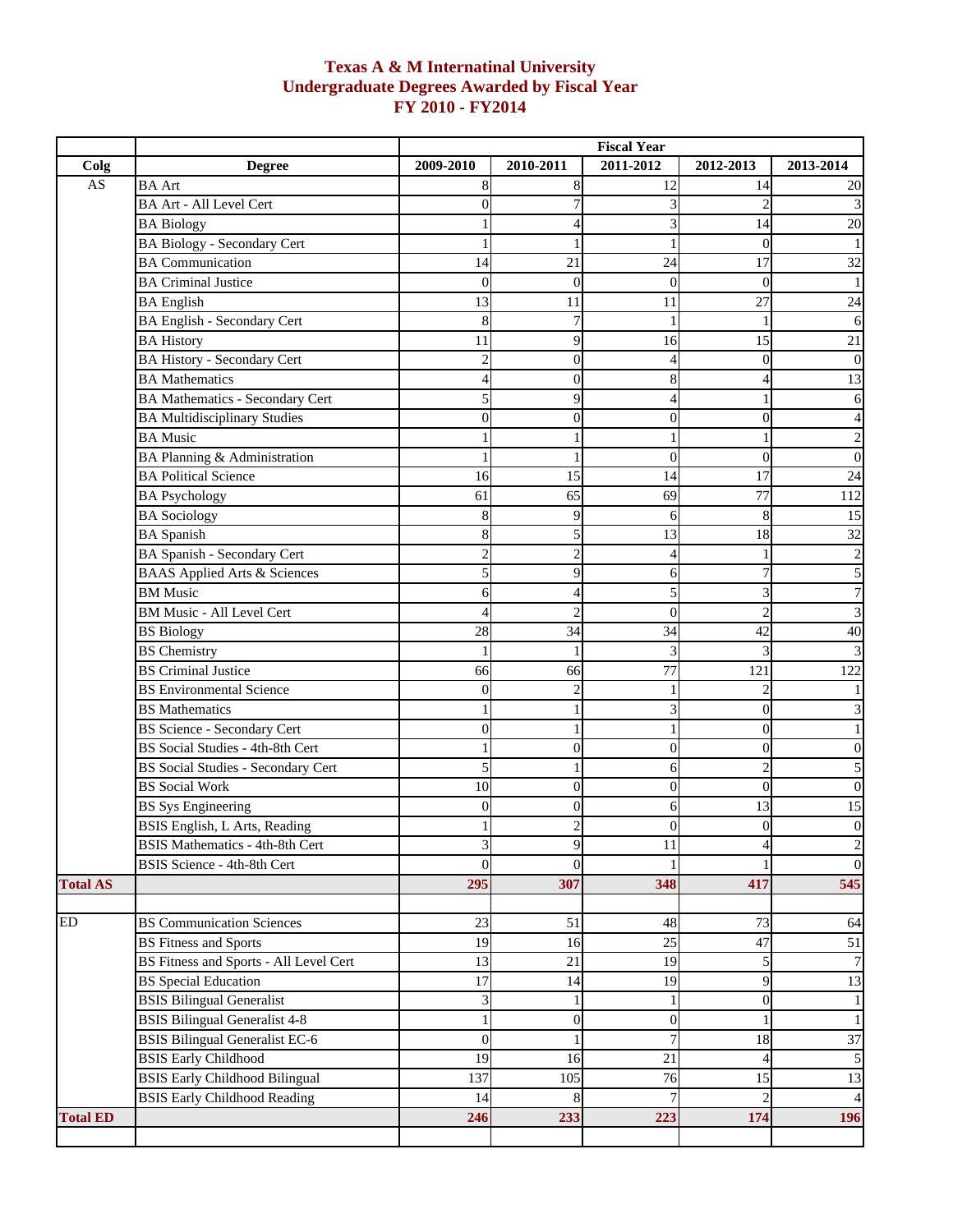# **Texas A & M Internatinal University Undergraduate Degrees Awarded by Fiscal Year FY 2010 - FY2014**

|                        |                                               | <b>Fiscal Year</b> |                  |           |                  |                  |  |
|------------------------|-----------------------------------------------|--------------------|------------------|-----------|------------------|------------------|--|
| Colg                   | <b>Degree</b>                                 | 2009-2010          | 2010-2011        | 2011-2012 | 2012-2013        | 2013-2014        |  |
| $\mathbf{A}\mathbf{S}$ | <b>BA</b> Art                                 | 8                  | 8                | 12        | 14               | 20               |  |
|                        | <b>BA Art - All Level Cert</b>                | $\Omega$           |                  |           |                  | 3                |  |
|                        | <b>BA Biology</b>                             |                    | 4                | 3         | 14               | 20               |  |
|                        | <b>BA Biology - Secondary Cert</b>            |                    |                  |           | $\theta$         | 1                |  |
|                        | <b>BA</b> Communication                       | 14                 | 21               | 24        | 17               | 32               |  |
|                        | <b>BA Criminal Justice</b>                    | $\Omega$           | $\Omega$         | $\theta$  | $\theta$         |                  |  |
|                        | <b>BA</b> English                             | 13                 | 11               | 11        | 27               | 24               |  |
|                        | <b>BA English - Secondary Cert</b>            | 8                  | 7                |           |                  | 6                |  |
|                        | <b>BA History</b>                             | 11                 | 9                | 16        | 15               | 21               |  |
|                        | <b>BA History - Secondary Cert</b>            | $\mathfrak{D}$     | $\mathbf{0}$     |           | 0                | 0                |  |
|                        | <b>BA</b> Mathematics                         |                    | $\overline{0}$   |           |                  | 13               |  |
|                        | <b>BA Mathematics - Secondary Cert</b>        | 5                  | 9                |           |                  | 6                |  |
|                        | <b>BA Multidisciplinary Studies</b>           | $\theta$           | $\mathbf{0}$     | 0         | 0                | 4                |  |
|                        | <b>BA</b> Music                               |                    |                  |           |                  | $\overline{c}$   |  |
|                        | BA Planning & Administration                  |                    |                  | 0         | $\theta$         | $\mathbf{0}$     |  |
|                        | <b>BA Political Science</b>                   | 16                 | 15               | 14        | 17               | 24               |  |
|                        | <b>BA Psychology</b>                          | 61                 | 65               | 69        | 77               | 112              |  |
|                        | <b>BA</b> Sociology                           | 8                  | 9                | 6         | 8                | 15               |  |
|                        | <b>BA</b> Spanish                             | 8                  | 5                | 13        | 18               | 32               |  |
|                        | <b>BA Spanish - Secondary Cert</b>            | $\mathcal{D}$      | $\overline{2}$   |           |                  | $\overline{c}$   |  |
|                        | <b>BAAS</b> Applied Arts & Sciences           |                    | 9                | 6         |                  | 5                |  |
|                        | <b>BM</b> Music                               | 6                  | 4                | 5         | 3                | $\overline{7}$   |  |
|                        | <b>BM Music - All Level Cert</b>              |                    | $\overline{2}$   | $\theta$  |                  | 3                |  |
|                        | <b>BS</b> Biology                             | 28                 | 34               | 34        | 42               | 40               |  |
|                        | <b>BS</b> Chemistry                           |                    |                  | 3         | 3                | 3                |  |
|                        | <b>BS</b> Criminal Justice                    | 66                 | 66               | 77        | 121              | 122              |  |
|                        | <b>BS</b> Environmental Science               | $\Omega$           | $\overline{2}$   |           |                  |                  |  |
|                        | <b>BS</b> Mathematics                         |                    |                  | 3         | $\theta$         | 3                |  |
|                        | <b>BS Science - Secondary Cert</b>            | $\Omega$           |                  |           | $\theta$         |                  |  |
|                        | BS Social Studies - 4th-8th Cert              |                    | $\overline{0}$   | $\Omega$  | $\theta$         | $\overline{0}$   |  |
|                        | <b>BS Social Studies - Secondary Cert</b>     | 5                  | 1                | 6         | $\overline{2}$   | 5                |  |
|                        | <b>BS</b> Social Work                         | 10                 | $\boldsymbol{0}$ | $\theta$  | $\overline{0}$   | $\overline{0}$   |  |
|                        | <b>BS</b> Sys Engineering                     |                    | $\overline{0}$   | 6         | 13               | 15               |  |
|                        | BSIS English, L Arts, Reading                 |                    | $\mathfrak{D}$   | 0         | $\boldsymbol{0}$ | $\boldsymbol{0}$ |  |
|                        | <b>BSIS Mathematics - 4th-8th Cert</b>        | 3                  | 9                | 11        | 4                | $\frac{2}{0}$    |  |
|                        | <b>BSIS Science - 4th-8th Cert</b>            | $\theta$           | $\theta$         |           |                  |                  |  |
| <b>Total AS</b>        |                                               | 295                | 307              | 348       | 417              | 545              |  |
|                        |                                               |                    |                  |           |                  |                  |  |
| ED                     | <b>BS Communication Sciences</b>              | 23                 | 51               | 48        | 73               | 64               |  |
|                        | <b>BS Fitness and Sports</b>                  | 19                 | 16               | 25        | 47               | 51               |  |
|                        | <b>BS Fitness and Sports - All Level Cert</b> | 13                 | 21               | 19        | 5                | $\boldsymbol{7}$ |  |
|                        | <b>BS</b> Special Education                   | 17                 | 14               | 19        | 9                | 13               |  |
|                        | <b>BSIS Bilingual Generalist</b>              | 3                  | $\mathbf{1}$     |           | $\overline{0}$   | $\mathbf{1}$     |  |
|                        | <b>BSIS Bilingual Generalist 4-8</b>          | $\mathbf{1}$       | $\boldsymbol{0}$ | $\theta$  |                  | 1                |  |
|                        | <b>BSIS Bilingual Generalist EC-6</b>         | $\overline{0}$     | 1                | 7         | 18               | 37               |  |
|                        | <b>BSIS Early Childhood</b>                   | 19                 | 16               | 21        | 4                | $\sqrt{5}$       |  |
|                        | <b>BSIS Early Childhood Bilingual</b>         | 137                | 105              | 76        | 15               | 13               |  |
|                        | <b>BSIS Early Childhood Reading</b>           | 14                 | 8                |           |                  | $\overline{4}$   |  |
| <b>Total ED</b>        |                                               | 246                | 233              | 223       | 174              | 196              |  |
|                        |                                               |                    |                  |           |                  |                  |  |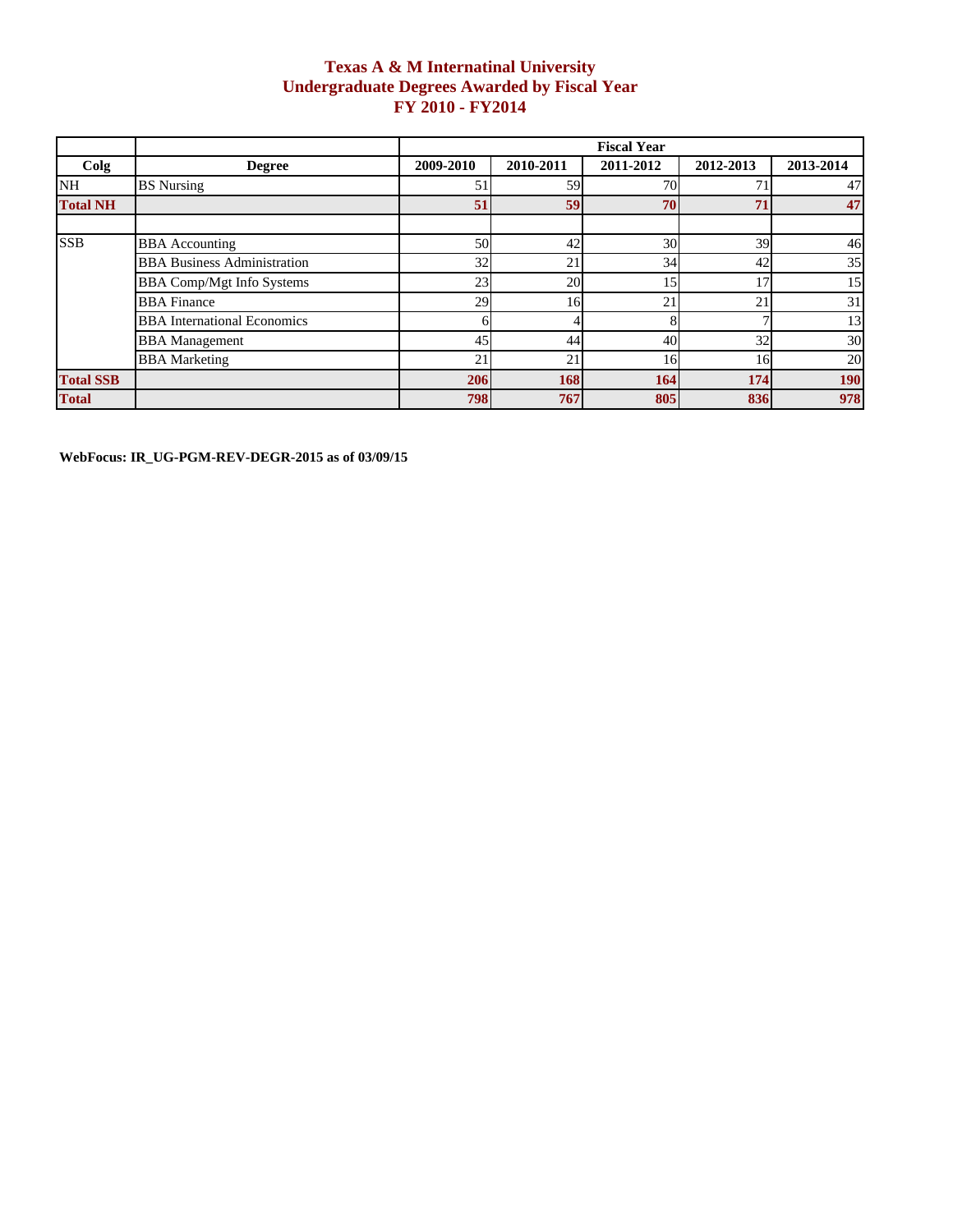## **Texas A & M Internatinal University Undergraduate Degrees Awarded by Fiscal Year FY 2010 - FY2014**

|                  |                                    | <b>Fiscal Year</b> |           |           |           |            |  |  |
|------------------|------------------------------------|--------------------|-----------|-----------|-----------|------------|--|--|
| Colg             | <b>Degree</b>                      | 2009-2010          | 2010-2011 | 2011-2012 | 2012-2013 | 2013-2014  |  |  |
| NH               | <b>BS</b> Nursing                  | 5.                 | 59        | 70        |           | 47         |  |  |
| <b>Total NH</b>  |                                    | 51                 | 59        | 70        | 71        | 47         |  |  |
|                  |                                    |                    |           |           |           |            |  |  |
| <b>SSB</b>       | <b>BBA</b> Accounting              | 50                 | 42        | 30        | 39        | 46         |  |  |
|                  | <b>BBA Business Administration</b> | 32                 | 21        | 34        | 42        | 35         |  |  |
|                  | <b>BBA Comp/Mgt Info Systems</b>   | 23                 | 20        | 15        | 17        | 15         |  |  |
|                  | <b>BBA</b> Finance                 | 29                 | 16        | 21        | 21        | 31         |  |  |
|                  | <b>BBA</b> International Economics |                    |           |           |           | 13         |  |  |
|                  | <b>BBA</b> Management              | 45                 | 44        | 40        | 32        | 30         |  |  |
|                  | <b>BBA</b> Marketing               | 21                 | 21        | 16        | 16        | 20         |  |  |
| <b>Total SSB</b> |                                    | 206                | 168       | 164       | 174       | <b>190</b> |  |  |
| <b>Total</b>     |                                    | 798                | 767       | 805       | 836       | 978        |  |  |

**WebFocus: IR\_UG-PGM-REV-DEGR-2015 as of 03/09/15**